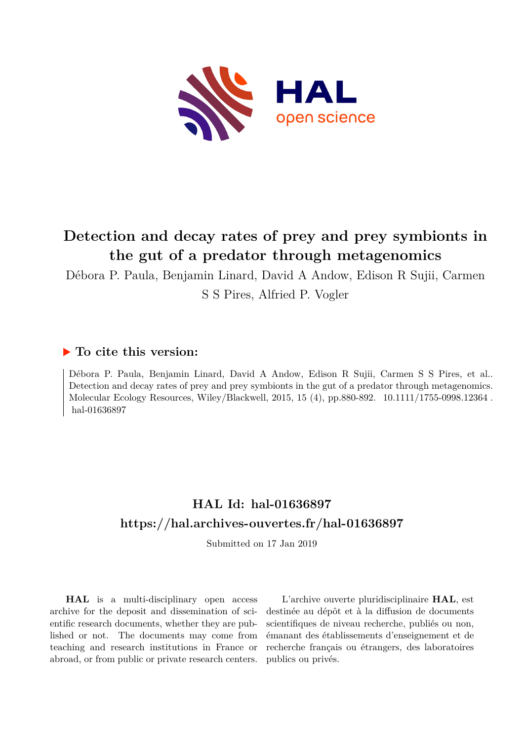

# **Detection and decay rates of prey and prey symbionts in the gut of a predator through metagenomics**

Débora P. Paula, Benjamin Linard, David A Andow, Edison R Sujii, Carmen S S Pires, Alfried P. Vogler

# **To cite this version:**

Débora P. Paula, Benjamin Linard, David A Andow, Edison R Sujii, Carmen S S Pires, et al.. Detection and decay rates of prey and prey symbionts in the gut of a predator through metagenomics. Molecular Ecology Resources, Wiley/Blackwell, 2015, 15 (4), pp.880-892. 10.1111/1755-0998.12364. hal-01636897

# **HAL Id: hal-01636897 <https://hal.archives-ouvertes.fr/hal-01636897>**

Submitted on 17 Jan 2019

**HAL** is a multi-disciplinary open access archive for the deposit and dissemination of scientific research documents, whether they are published or not. The documents may come from teaching and research institutions in France or abroad, or from public or private research centers.

L'archive ouverte pluridisciplinaire **HAL**, est destinée au dépôt et à la diffusion de documents scientifiques de niveau recherche, publiés ou non, émanant des établissements d'enseignement et de recherche français ou étrangers, des laboratoires publics ou privés.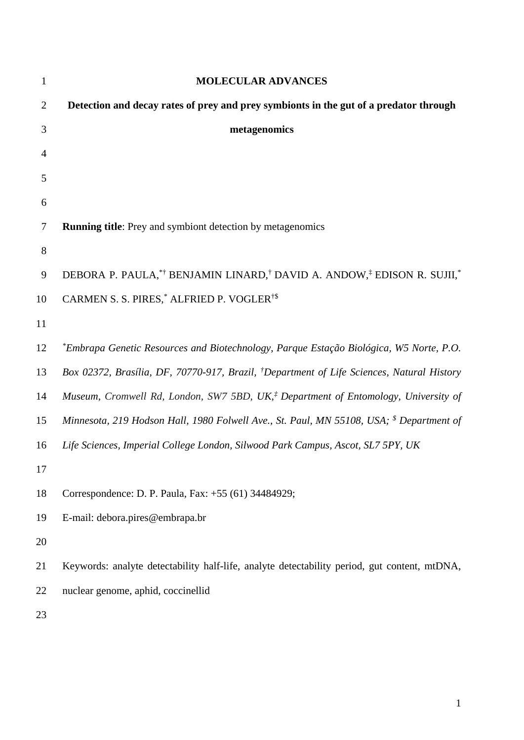| $\mathbf{1}$   | <b>MOLECULAR ADVANCES</b>                                                                             |
|----------------|-------------------------------------------------------------------------------------------------------|
| $\overline{2}$ | Detection and decay rates of prey and prey symbionts in the gut of a predator through                 |
| 3              | metagenomics                                                                                          |
| 4              |                                                                                                       |
| 5              |                                                                                                       |
| 6              |                                                                                                       |
| 7              | <b>Running title:</b> Prey and symbiont detection by metagenomics                                     |
| 8              |                                                                                                       |
| 9              | DEBORA P. PAULA,*† BENJAMIN LINARD,† DAVID A. ANDOW,‡ EDISON R. SUJII,*                               |
| 10             | CARMEN S. S. PIRES, <sup>*</sup> ALFRIED P. VOGLER <sup>†\$</sup>                                     |
| 11             |                                                                                                       |
| 12             | *Embrapa Genetic Resources and Biotechnology, Parque Estação Biológica, W5 Norte, P.O.                |
| 13             | Box 02372, Brasília, DF, 70770-917, Brazil, <sup>†</sup> Department of Life Sciences, Natural History |
| 14             | Museum, Cromwell Rd, London, SW7 5BD, UK, <sup>†</sup> Department of Entomology, University of        |
| 15             | Minnesota, 219 Hodson Hall, 1980 Folwell Ave., St. Paul, MN 55108, USA; <sup>\$</sup> Department of   |
| 16             | Life Sciences, Imperial College London, Silwood Park Campus, Ascot, SL7 5PY, UK                       |
| 17             |                                                                                                       |
| 18             | Correspondence: D. P. Paula, Fax: +55 (61) 34484929;                                                  |
| 19             | E-mail: debora.pires@embrapa.br                                                                       |
| 20             |                                                                                                       |
| 21             | Keywords: analyte detectability half-life, analyte detectability period, gut content, mtDNA,          |
| 22             | nuclear genome, aphid, coccinellid                                                                    |
| 23             |                                                                                                       |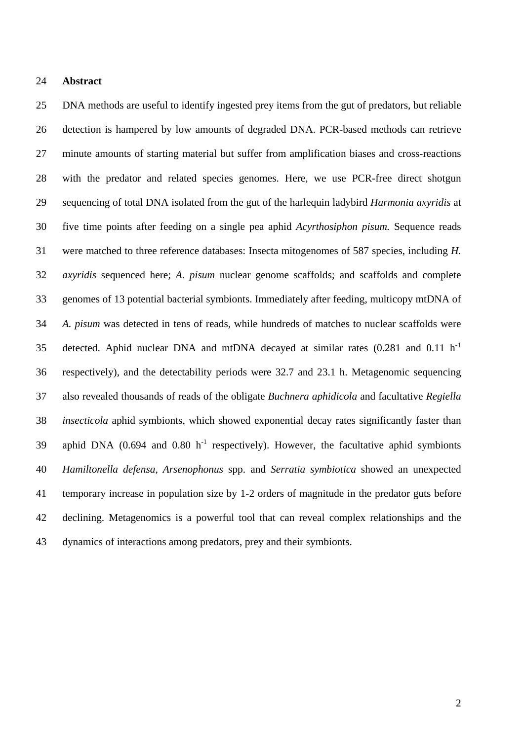#### **Abstract**

 DNA methods are useful to identify ingested prey items from the gut of predators, but reliable detection is hampered by low amounts of degraded DNA. PCR-based methods can retrieve minute amounts of starting material but suffer from amplification biases and cross-reactions with the predator and related species genomes. Here, we use PCR-free direct shotgun sequencing of total DNA isolated from the gut of the harlequin ladybird *Harmonia axyridis* at five time points after feeding on a single pea aphid *Acyrthosiphon pisum.* Sequence reads were matched to three reference databases: Insecta mitogenomes of 587 species, including *H. axyridis* sequenced here; *A. pisum* nuclear genome scaffolds; and scaffolds and complete genomes of 13 potential bacterial symbionts. Immediately after feeding, multicopy mtDNA of *A. pisum* was detected in tens of reads, while hundreds of matches to nuclear scaffolds were 35 detected. Aphid nuclear DNA and mtDNA decayed at similar rates  $(0.281$  and  $0.11$  h<sup>-1</sup> respectively), and the detectability periods were 32.7 and 23.1 h. Metagenomic sequencing also revealed thousands of reads of the obligate *Buchnera aphidicola* and facultative *Regiella insecticola* aphid symbionts, which showed exponential decay rates significantly faster than 39 aphid DNA  $(0.694$  and  $0.80$  h<sup>-1</sup> respectively). However, the facultative aphid symbionts *Hamiltonella defensa*, *Arsenophonus* spp. and *Serratia symbiotica* showed an unexpected temporary increase in population size by 1-2 orders of magnitude in the predator guts before declining. Metagenomics is a powerful tool that can reveal complex relationships and the dynamics of interactions among predators, prey and their symbionts.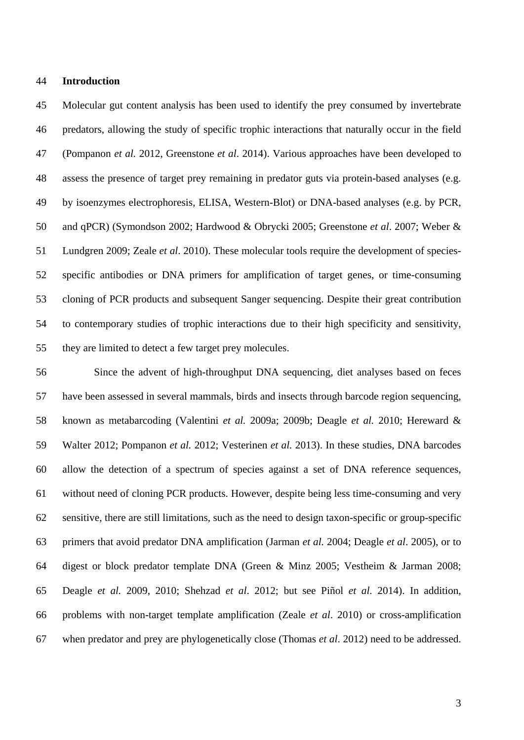#### **Introduction**

 Molecular gut content analysis has been used to identify the prey consumed by invertebrate predators, allowing the study of specific trophic interactions that naturally occur in the field (Pompanon *et al.* 2012, Greenstone *et al*. 2014). Various approaches have been developed to assess the presence of target prey remaining in predator guts via protein-based analyses (e.g. by isoenzymes electrophoresis, ELISA, Western-Blot) or DNA-based analyses (e.g. by PCR, and qPCR) (Symondson 2002; Hardwood & Obrycki 2005; Greenstone *et al*. 2007; Weber & Lundgren 2009; Zeale *et al*. 2010). These molecular tools require the development of species- specific antibodies or DNA primers for amplification of target genes, or time-consuming cloning of PCR products and subsequent Sanger sequencing. Despite their great contribution to contemporary studies of trophic interactions due to their high specificity and sensitivity, they are limited to detect a few target prey molecules.

 Since the advent of high-throughput DNA sequencing, diet analyses based on feces have been assessed in several mammals, birds and insects through barcode region sequencing, known as metabarcoding (Valentini *et al.* 2009a; 2009b; Deagle *et al.* 2010; Hereward & Walter 2012; Pompanon *et al.* 2012; Vesterinen *et al.* 2013). In these studies, DNA barcodes allow the detection of a spectrum of species against a set of DNA reference sequences, without need of cloning PCR products. However, despite being less time-consuming and very sensitive, there are still limitations, such as the need to design taxon-specific or group-specific primers that avoid predator DNA amplification (Jarman *et al.* 2004; Deagle *et al*. 2005), or to digest or block predator template DNA (Green & Minz 2005; Vestheim & Jarman 2008; Deagle *et al.* 2009, 2010; Shehzad *et al*. 2012; but see Piñol *et al*. 2014). In addition, problems with non-target template amplification (Zeale *et al*. 2010) or cross-amplification when predator and prey are phylogenetically close (Thomas *et al*. 2012) need to be addressed.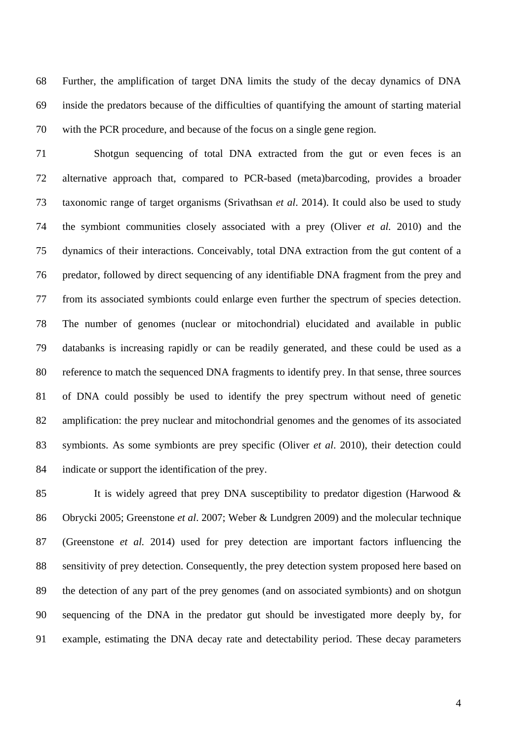Further, the amplification of target DNA limits the study of the decay dynamics of DNA inside the predators because of the difficulties of quantifying the amount of starting material with the PCR procedure, and because of the focus on a single gene region.

 Shotgun sequencing of total DNA extracted from the gut or even feces is an alternative approach that, compared to PCR-based (meta)barcoding, provides a broader taxonomic range of target organisms (Srivathsan *et al*. 2014). It could also be used to study the symbiont communities closely associated with a prey (Oliver *et al.* 2010) and the dynamics of their interactions. Conceivably, total DNA extraction from the gut content of a predator, followed by direct sequencing of any identifiable DNA fragment from the prey and from its associated symbionts could enlarge even further the spectrum of species detection. The number of genomes (nuclear or mitochondrial) elucidated and available in public databanks is increasing rapidly or can be readily generated, and these could be used as a reference to match the sequenced DNA fragments to identify prey. In that sense, three sources of DNA could possibly be used to identify the prey spectrum without need of genetic amplification: the prey nuclear and mitochondrial genomes and the genomes of its associated symbionts. As some symbionts are prey specific (Oliver *et al*. 2010), their detection could indicate or support the identification of the prey.

 It is widely agreed that prey DNA susceptibility to predator digestion (Harwood & Obrycki 2005; Greenstone *et al*. 2007; Weber & Lundgren 2009) and the molecular technique (Greenstone *et al.* 2014) used for prey detection are important factors influencing the sensitivity of prey detection. Consequently, the prey detection system proposed here based on the detection of any part of the prey genomes (and on associated symbionts) and on shotgun sequencing of the DNA in the predator gut should be investigated more deeply by, for example, estimating the DNA decay rate and detectability period. These decay parameters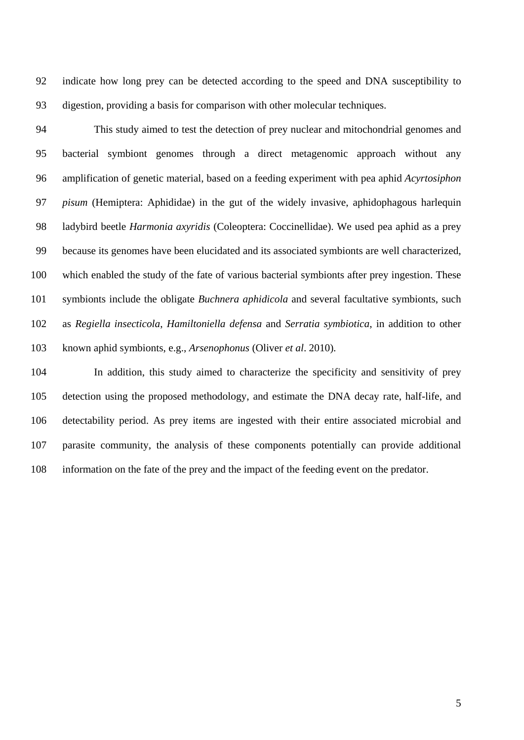indicate how long prey can be detected according to the speed and DNA susceptibility to digestion, providing a basis for comparison with other molecular techniques.

 This study aimed to test the detection of prey nuclear and mitochondrial genomes and bacterial symbiont genomes through a direct metagenomic approach without any amplification of genetic material, based on a feeding experiment with pea aphid *Acyrtosiphon pisum* (Hemiptera: Aphididae) in the gut of the widely invasive, aphidophagous harlequin ladybird beetle *Harmonia axyridis* (Coleoptera: Coccinellidae). We used pea aphid as a prey because its genomes have been elucidated and its associated symbionts are well characterized, which enabled the study of the fate of various bacterial symbionts after prey ingestion. These symbionts include the obligate *Buchnera aphidicola* and several facultative symbionts, such as *Regiella insecticola*, *Hamiltoniella defensa* and *Serratia symbiotica*, in addition to other known aphid symbionts, e.g., *Arsenophonus* (Oliver *et al*. 2010)*.* 

 In addition, this study aimed to characterize the specificity and sensitivity of prey detection using the proposed methodology, and estimate the DNA decay rate, half-life, and detectability period. As prey items are ingested with their entire associated microbial and parasite community, the analysis of these components potentially can provide additional information on the fate of the prey and the impact of the feeding event on the predator.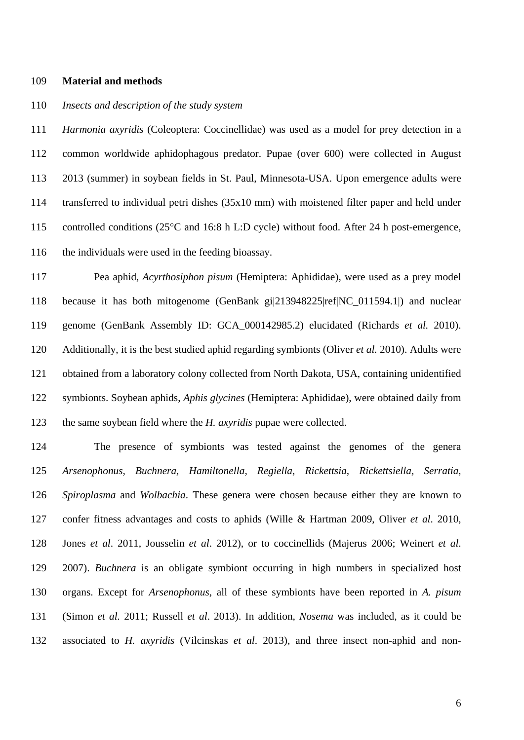#### **Material and methods**

## *Insects and description of the study system*

 *Harmonia axyridis* (Coleoptera: Coccinellidae) was used as a model for prey detection in a common worldwide aphidophagous predator. Pupae (over 600) were collected in August 2013 (summer) in soybean fields in St. Paul, Minnesota-USA. Upon emergence adults were transferred to individual petri dishes (35x10 mm) with moistened filter paper and held under 115 controlled conditions (25°C and 16:8 h L:D cycle) without food. After 24 h post-emergence, the individuals were used in the feeding bioassay.

 Pea aphid, *Acyrthosiphon pisum* (Hemiptera: Aphididae), were used as a prey model because it has both mitogenome (GenBank gi|213948225|ref|NC\_011594.1|) and nuclear genome (GenBank Assembly ID: GCA\_000142985.2) elucidated (Richards *et al.* 2010). Additionally, it is the best studied aphid regarding symbionts (Oliver *et al.* 2010). Adults were obtained from a laboratory colony collected from North Dakota, USA, containing unidentified symbionts. Soybean aphids, *Aphis glycines* (Hemiptera: Aphididae), were obtained daily from the same soybean field where the *H. axyridis* pupae were collected.

 The presence of symbionts was tested against the genomes of the genera *Arsenophonus, Buchnera, Hamiltonella, Regiella*, *Rickettsia, Rickettsiella, Serratia, Spiroplasma* and *Wolbachia*. These genera were chosen because either they are known to confer fitness advantages and costs to aphids (Wille & Hartman 2009, Oliver *et al*. 2010, Jones *et al*. 2011, Jousselin *et al*. 2012), or to coccinellids (Majerus 2006; Weinert *et al*. 2007). *Buchnera* is an obligate symbiont occurring in high numbers in specialized host organs. Except for *Arsenophonus*, all of these symbionts have been reported in *A. pisum* (Simon *et al.* 2011; Russell *et al*. 2013). In addition, *Nosema* was included, as it could be associated to *H. axyridis* (Vilcinskas *et al*. 2013), and three insect non-aphid and non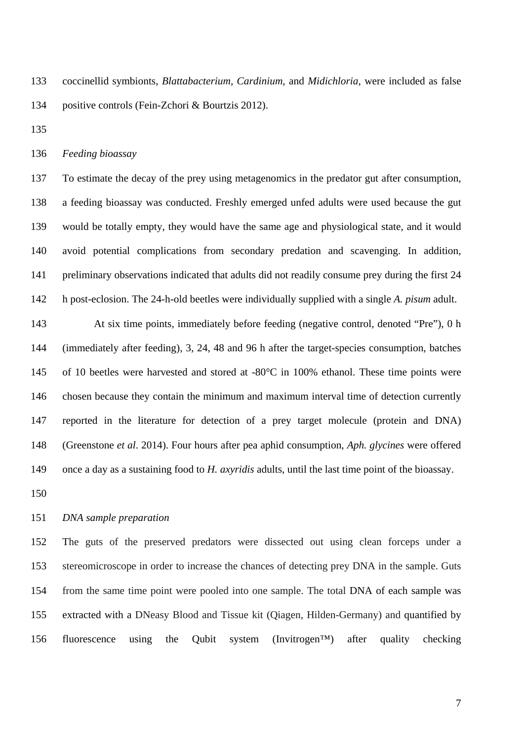coccinellid symbionts, *Blattabacterium, Cardinium,* and *Midichloria*, were included as false positive controls (Fein-Zchori & Bourtzis 2012).

*Feeding bioassay*

 To estimate the decay of the prey using metagenomics in the predator gut after consumption, a feeding bioassay was conducted. Freshly emerged unfed adults were used because the gut would be totally empty, they would have the same age and physiological state, and it would avoid potential complications from secondary predation and scavenging. In addition, preliminary observations indicated that adults did not readily consume prey during the first 24 h post-eclosion. The 24-h-old beetles were individually supplied with a single *A. pisum* adult.

 At six time points, immediately before feeding (negative control, denoted "Pre"), 0 h (immediately after feeding), 3, 24, 48 and 96 h after the target-species consumption, batches of 10 beetles were harvested and stored at -80°C in 100% ethanol. These time points were chosen because they contain the minimum and maximum interval time of detection currently reported in the literature for detection of a prey target molecule (protein and DNA) (Greenstone *et al*. 2014). Four hours after pea aphid consumption, *Aph. glycines* were offered once a day as a sustaining food to *H. axyridis* adults, until the last time point of the bioassay.

### *DNA sample preparation*

 The guts of the preserved predators were dissected out using clean forceps under a stereomicroscope in order to increase the chances of detecting prey DNA in the sample. Guts from the same time point were pooled into one sample. The total DNA of each sample was extracted with a DNeasy Blood and Tissue kit (Qiagen, Hilden-Germany) and quantified by fluorescence using the Qubit system (Invitrogen™) after quality checking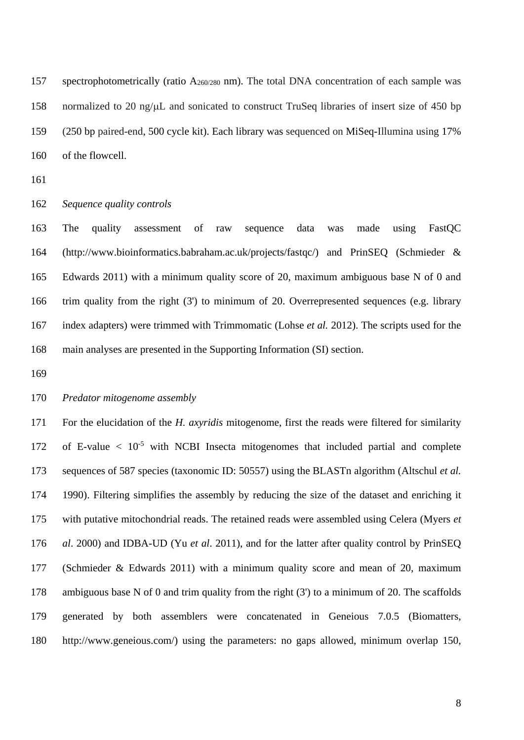spectrophotometrically (ratio A260/280 nm). The total DNA concentration of each sample was normalized to 20 ng/µL and sonicated to construct TruSeq libraries of insert size of 450 bp (250 bp paired-end, 500 cycle kit). Each library was sequenced on MiSeq-Illumina using 17% of the flowcell.

#### *Sequence quality controls*

 The quality assessment of raw sequence data was made using FastQC [\(http://www.bioinformatics.babraham.ac.uk/projects/fastqc/\)](http://www.bioinformatics.babraham.ac.uk/projects/fastqc/) and PrinSEQ (Schmieder & Edwards 2011) with a minimum quality score of 20, maximum ambiguous base N of 0 and trim quality from the right (3') to minimum of 20. Overrepresented sequences (e.g. library index adapters) were trimmed with Trimmomatic (Lohse *et al.* 2012). The scripts used for the main analyses are presented in the Supporting Information (SI) section.

## *Predator mitogenome assembly*

 For the elucidation of the *H. axyridis* mitogenome, first the reads were filtered for similarity 172 of E-value  $\langle 10^{-5}$  with NCBI Insecta mitogenomes that included partial and complete sequences of 587 species (taxonomic ID: 50557) using the BLASTn algorithm (Altschul *et al.*  1990). Filtering simplifies the assembly by reducing the size of the dataset and enriching it with putative mitochondrial reads. The retained reads were assembled using Celera (Myers *et al*. 2000) and IDBA-UD (Yu *et al*. 2011), and for the latter after quality control by PrinSEQ (Schmieder & Edwards 2011) with a minimum quality score and mean of 20, maximum ambiguous base N of 0 and trim quality from the right (3') to a minimum of 20. The scaffolds generated by both assemblers were concatenated in Geneious 7.0.5 (Biomatters, http://www.geneious.com/) using the parameters: no gaps allowed, minimum overlap 150,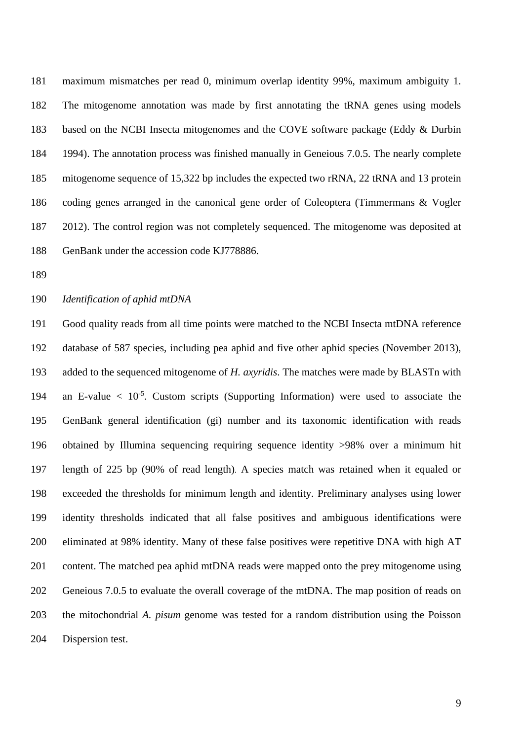maximum mismatches per read 0, minimum overlap identity 99%, maximum ambiguity 1. The mitogenome annotation was made by first annotating the tRNA genes using models based on the NCBI Insecta mitogenomes and the COVE software package (Eddy & Durbin 1994). The annotation process was finished manually in Geneious 7.0.5. The nearly complete mitogenome sequence of 15,322 bp includes the expected two rRNA, 22 tRNA and 13 protein coding genes arranged in the canonical gene order of Coleoptera (Timmermans & Vogler 2012). The control region was not completely sequenced. The mitogenome was deposited at GenBank under the accession code KJ778886.

*Identification of aphid mtDNA*

 Good quality reads from all time points were matched to the NCBI Insecta mtDNA reference database of 587 species, including pea aphid and five other aphid species (November 2013), added to the sequenced mitogenome of *H. axyridis*. The matches were made by BLASTn with 194 an E-value  $\langle 10^{-5} \rangle$ . Custom scripts (Supporting Information) were used to associate the GenBank general identification (gi) number and its taxonomic identification with reads obtained by Illumina sequencing requiring sequence identity >98% over a minimum hit length of 225 bp (90% of read length). A species match was retained when it equaled or exceeded the thresholds for minimum length and identity. Preliminary analyses using lower identity thresholds indicated that all false positives and ambiguous identifications were eliminated at 98% identity. Many of these false positives were repetitive DNA with high AT content. The matched pea aphid mtDNA reads were mapped onto the prey mitogenome using Geneious 7.0.5 to evaluate the overall coverage of the mtDNA. The map position of reads on the mitochondrial *A. pisum* genome was tested for a random distribution using the Poisson Dispersion test.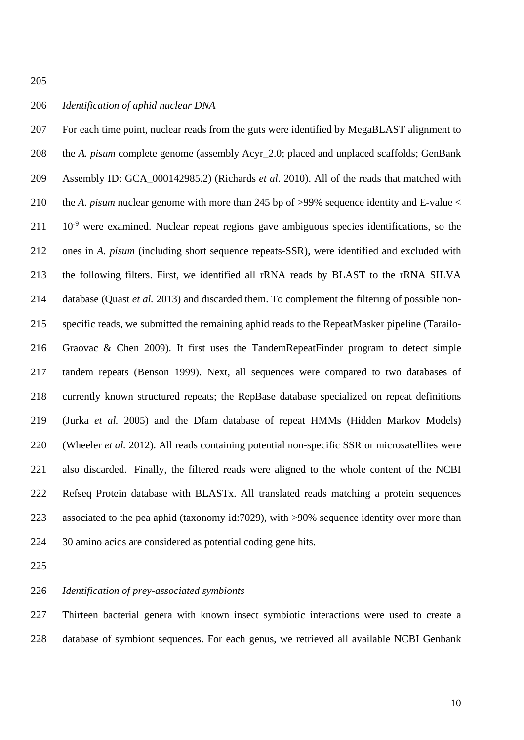## *Identification of aphid nuclear DNA*

 For each time point, nuclear reads from the guts were identified by MegaBLAST alignment to the *A. pisum* complete genome (assembly Acyr\_2.0; placed and unplaced scaffolds; GenBank Assembly ID: GCA\_000142985.2) (Richards *et al*. 2010). All of the reads that matched with the *A. pisum* nuclear genome with more than 245 bp of >99% sequence identity and E-value <  $10^{-9}$  were examined. Nuclear repeat regions gave ambiguous species identifications, so the ones in *A. pisum* (including short sequence repeats-SSR), were identified and excluded with the following filters. First, we identified all rRNA reads by BLAST to the rRNA SILVA database (Quast *et al.* 2013) and discarded them. To complement the filtering of possible non- specific reads, we submitted the remaining aphid reads to the RepeatMasker pipeline (Tarailo- Graovac & Chen 2009). It first uses the TandemRepeatFinder program to detect simple tandem repeats (Benson 1999). Next, all sequences were compared to two databases of currently known structured repeats; the RepBase database specialized on repeat definitions (Jurka *et al.* 2005) and the Dfam database of repeat HMMs (Hidden Markov Models) (Wheeler *et al.* 2012). All reads containing potential non-specific SSR or microsatellites were also discarded. Finally, the filtered reads were aligned to the whole content of the NCBI Refseq Protein database with BLASTx. All translated reads matching a protein sequences associated to the pea aphid (taxonomy id:7029), with >90% sequence identity over more than 30 amino acids are considered as potential coding gene hits.

## *Identification of prey-associated symbionts*

 Thirteen bacterial genera with known insect symbiotic interactions were used to create a database of symbiont sequences. For each genus, we retrieved all available NCBI Genbank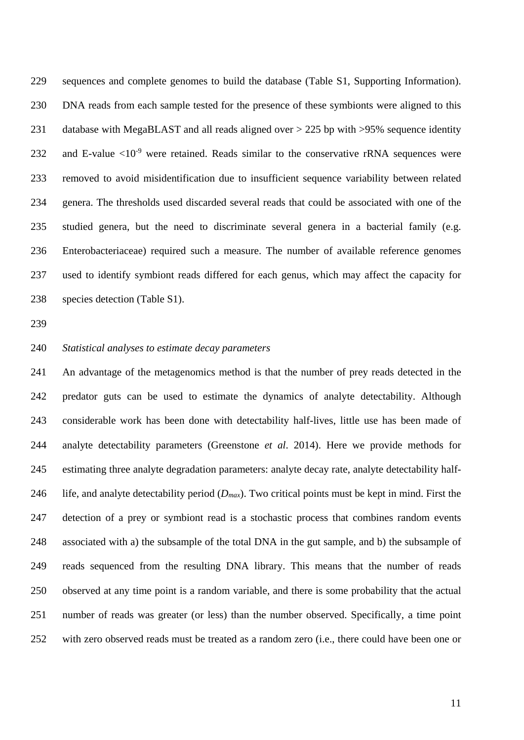sequences and complete genomes to build the database (Table S1, Supporting Information). DNA reads from each sample tested for the presence of these symbionts were aligned to this 231 database with MegaBLAST and all reads aligned over > 225 bp with >95% sequence identity 232 and E-value  $\langle 10^{-9}$  were retained. Reads similar to the conservative rRNA sequences were removed to avoid misidentification due to insufficient sequence variability between related genera. The thresholds used discarded several reads that could be associated with one of the studied genera, but the need to discriminate several genera in a bacterial family (e.g. Enterobacteriaceae) required such a measure. The number of available reference genomes used to identify symbiont reads differed for each genus, which may affect the capacity for species detection (Table S1).

### *Statistical analyses to estimate decay parameters*

 An advantage of the metagenomics method is that the number of prey reads detected in the predator guts can be used to estimate the dynamics of analyte detectability. Although considerable work has been done with detectability half-lives, little use has been made of analyte detectability parameters (Greenstone *et al*. 2014). Here we provide methods for estimating three analyte degradation parameters: analyte decay rate, analyte detectability half- life, and analyte detectability period (*Dmax*). Two critical points must be kept in mind. First the detection of a prey or symbiont read is a stochastic process that combines random events associated with a) the subsample of the total DNA in the gut sample, and b) the subsample of reads sequenced from the resulting DNA library. This means that the number of reads observed at any time point is a random variable, and there is some probability that the actual number of reads was greater (or less) than the number observed. Specifically, a time point with zero observed reads must be treated as a random zero (i.e., there could have been one or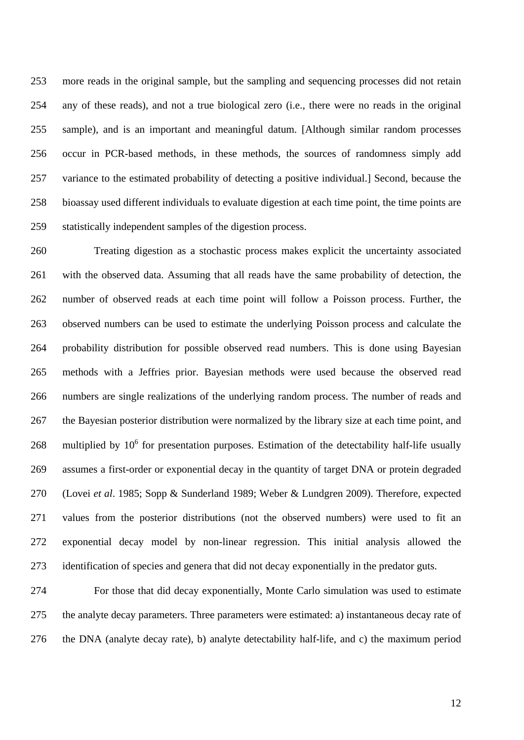more reads in the original sample, but the sampling and sequencing processes did not retain any of these reads), and not a true biological zero (i.e., there were no reads in the original sample), and is an important and meaningful datum. [Although similar random processes occur in PCR-based methods, in these methods, the sources of randomness simply add variance to the estimated probability of detecting a positive individual.] Second, because the bioassay used different individuals to evaluate digestion at each time point, the time points are statistically independent samples of the digestion process.

 Treating digestion as a stochastic process makes explicit the uncertainty associated with the observed data. Assuming that all reads have the same probability of detection, the number of observed reads at each time point will follow a Poisson process. Further, the observed numbers can be used to estimate the underlying Poisson process and calculate the probability distribution for possible observed read numbers. This is done using Bayesian methods with a Jeffries prior. Bayesian methods were used because the observed read numbers are single realizations of the underlying random process. The number of reads and the Bayesian posterior distribution were normalized by the library size at each time point, and 268 multiplied by  $10^6$  for presentation purposes. Estimation of the detectability half-life usually assumes a first-order or exponential decay in the quantity of target DNA or protein degraded (Lovei *et al*. 1985; Sopp & Sunderland 1989; Weber & Lundgren 2009). Therefore, expected values from the posterior distributions (not the observed numbers) were used to fit an exponential decay model by non-linear regression. This initial analysis allowed the identification of species and genera that did not decay exponentially in the predator guts.

 For those that did decay exponentially, Monte Carlo simulation was used to estimate the analyte decay parameters. Three parameters were estimated: a) instantaneous decay rate of the DNA (analyte decay rate), b) analyte detectability half-life, and c) the maximum period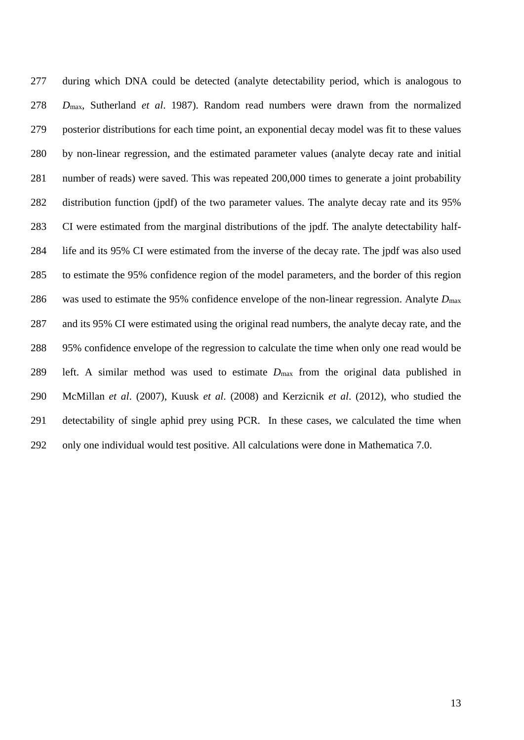during which DNA could be detected (analyte detectability period, which is analogous to *D*max, Sutherland *et al*. 1987). Random read numbers were drawn from the normalized posterior distributions for each time point, an exponential decay model was fit to these values by non-linear regression, and the estimated parameter values (analyte decay rate and initial number of reads) were saved. This was repeated 200,000 times to generate a joint probability distribution function (jpdf) of the two parameter values. The analyte decay rate and its 95% CI were estimated from the marginal distributions of the jpdf. The analyte detectability half- life and its 95% CI were estimated from the inverse of the decay rate. The jpdf was also used to estimate the 95% confidence region of the model parameters, and the border of this region was used to estimate the 95% confidence envelope of the non-linear regression. Analyte *D*max and its 95% CI were estimated using the original read numbers, the analyte decay rate, and the 95% confidence envelope of the regression to calculate the time when only one read would be left. A similar method was used to estimate *D*max from the original data published in McMillan *et al*. (2007), Kuusk *et al*. (2008) and Kerzicnik *et al*. (2012), who studied the detectability of single aphid prey using PCR. In these cases, we calculated the time when only one individual would test positive. All calculations were done in Mathematica 7.0.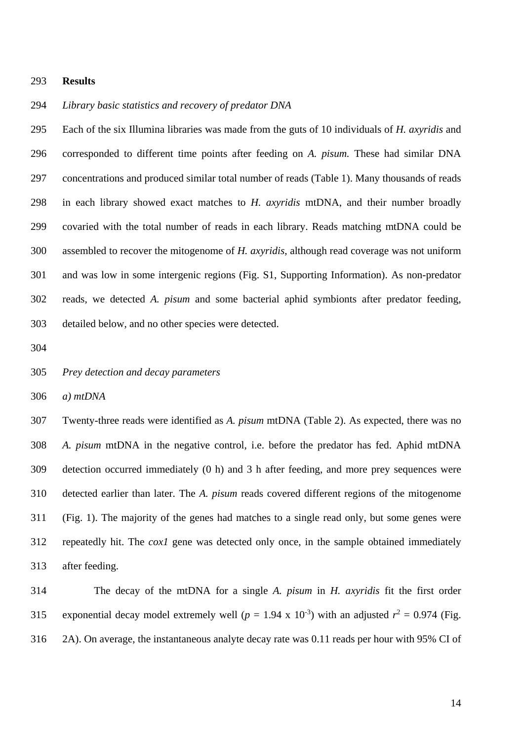#### **Results**

## *Library basic statistics and recovery of predator DNA*

 Each of the six Illumina libraries was made from the guts of 10 individuals of *H. axyridis* and corresponded to different time points after feeding on *A. pisum.* These had similar DNA concentrations and produced similar total number of reads (Table 1). Many thousands of reads in each library showed exact matches to *H. axyridis* mtDNA, and their number broadly covaried with the total number of reads in each library. Reads matching mtDNA could be assembled to recover the mitogenome of *H. axyridis*, although read coverage was not uniform and was low in some intergenic regions (Fig. S1, Supporting Information). As non-predator reads, we detected *A. pisum* and some bacterial aphid symbionts after predator feeding, detailed below, and no other species were detected.

*Prey detection and decay parameters*

*a) mtDNA*

 Twenty-three reads were identified as *A. pisum* mtDNA (Table 2). As expected, there was no *A. pisum* mtDNA in the negative control, i.e. before the predator has fed. Aphid mtDNA detection occurred immediately (0 h) and 3 h after feeding, and more prey sequences were detected earlier than later. The *A. pisum* reads covered different regions of the mitogenome (Fig. 1). The majority of the genes had matches to a single read only, but some genes were repeatedly hit. The *cox1* gene was detected only once, in the sample obtained immediately after feeding.

 The decay of the mtDNA for a single *A. pisum* in *H. axyridis* fit the first order 315 exponential decay model extremely well ( $p = 1.94 \times 10^{-3}$ ) with an adjusted  $r^2 = 0.974$  (Fig. 2A). On average, the instantaneous analyte decay rate was 0.11 reads per hour with 95% CI of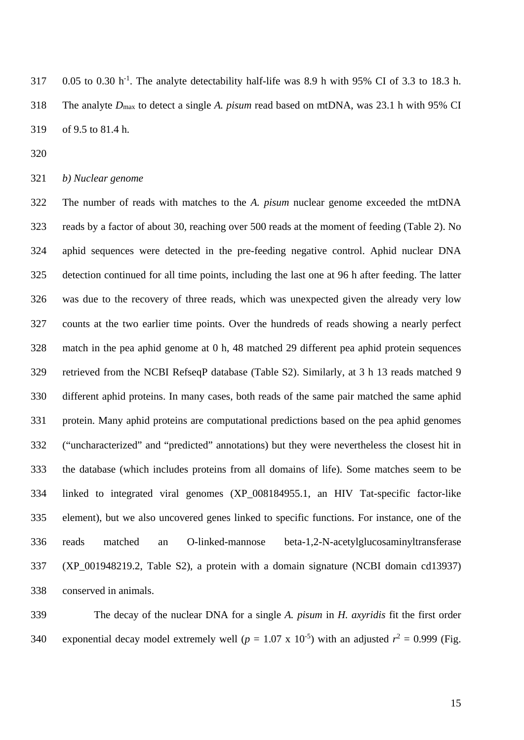317 0.05 to 0.30 h<sup>-1</sup>. The analyte detectability half-life was 8.9 h with 95% CI of 3.3 to 18.3 h. The analyte *D*max to detect a single *A. pisum* read based on mtDNA, was 23.1 h with 95% CI of 9.5 to 81.4 h.

*b) Nuclear genome*

 The number of reads with matches to the *A. pisum* nuclear genome exceeded the mtDNA reads by a factor of about 30, reaching over 500 reads at the moment of feeding (Table 2). No aphid sequences were detected in the pre-feeding negative control. Aphid nuclear DNA detection continued for all time points, including the last one at 96 h after feeding. The latter was due to the recovery of three reads, which was unexpected given the already very low counts at the two earlier time points. Over the hundreds of reads showing a nearly perfect match in the pea aphid genome at 0 h, 48 matched 29 different pea aphid protein sequences retrieved from the NCBI RefseqP database (Table S2). Similarly, at 3 h 13 reads matched 9 different aphid proteins. In many cases, both reads of the same pair matched the same aphid protein. Many aphid proteins are computational predictions based on the pea aphid genomes ("uncharacterized" and "predicted" annotations) but they were nevertheless the closest hit in the database (which includes proteins from all domains of life). Some matches seem to be linked to integrated viral genomes (XP\_008184955.1, an HIV Tat-specific factor-like element), but we also uncovered genes linked to specific functions. For instance, one of the reads matched an O-linked-mannose beta-1,2-N-acetylglucosaminyltransferase (XP\_001948219.2, Table S2), a protein with a domain signature (NCBI domain cd13937) conserved in animals.

 The decay of the nuclear DNA for a single *A. pisum* in *H. axyridis* fit the first order 340 exponential decay model extremely well ( $p = 1.07 \times 10^{-5}$ ) with an adjusted  $r^2 = 0.999$  (Fig.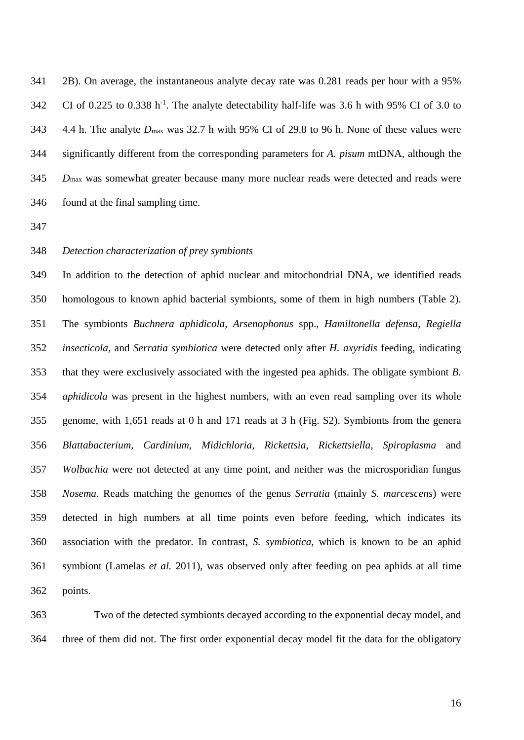2B). On average, the instantaneous analyte decay rate was 0.281 reads per hour with a 95% 342 CI of 0.225 to 0.338 h<sup>-1</sup>. The analyte detectability half-life was 3.6 h with 95% CI of 3.0 to 4.4 h. The analyte *D*max was 32.7 h with 95% CI of 29.8 to 96 h. None of these values were significantly different from the corresponding parameters for *A. pisum* mtDNA, although the *D*max was somewhat greater because many more nuclear reads were detected and reads were found at the final sampling time.

## *Detection characterization of prey symbionts*

 In addition to the detection of aphid nuclear and mitochondrial DNA, we identified reads homologous to known aphid bacterial symbionts, some of them in high numbers (Table 2). The symbionts *Buchnera aphidicola*, *Arsenophonus* spp.*, Hamiltonella defensa, Regiella insecticola,* and *Serratia symbiotica* were detected only after *H. axyridis* feeding, indicating that they were exclusively associated with the ingested pea aphids. The obligate symbiont *B. aphidicola* was present in the highest numbers, with an even read sampling over its whole genome, with 1,651 reads at 0 h and 171 reads at 3 h (Fig. S2). Symbionts from the genera *Blattabacterium, Cardinium, Midichloria*, *Rickettsia, Rickettsiella, Spiroplasma* and *Wolbachia* were not detected at any time point, and neither was the microsporidian fungus *Nosema*. Reads matching the genomes of the genus *Serratia* (mainly *S. marcescens*) were detected in high numbers at all time points even before feeding, which indicates its association with the predator. In contrast, *S. symbiotica*, which is known to be an aphid symbiont (Lamelas *et al.* 2011), was observed only after feeding on pea aphids at all time points.

 Two of the detected symbionts decayed according to the exponential decay model, and three of them did not. The first order exponential decay model fit the data for the obligatory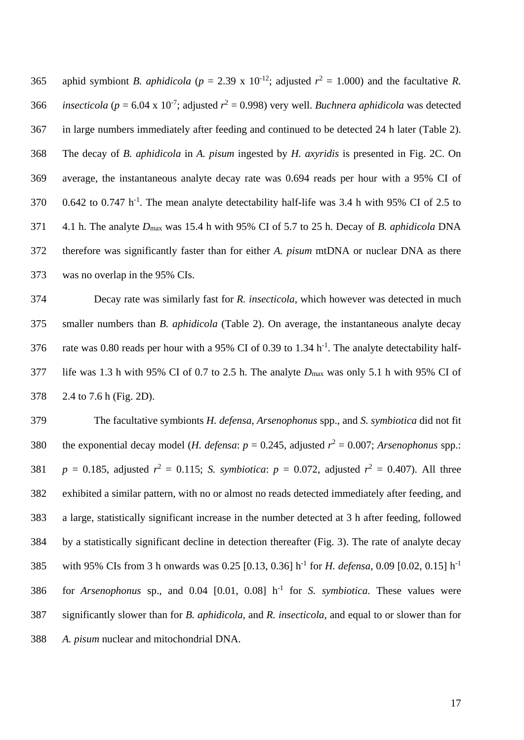365 aphid symbiont *B. aphidicola* ( $p = 2.39 \times 10^{-12}$ ; adjusted  $r^2 = 1.000$ ) and the facultative *R. insecticola* ( $p = 6.04 \times 10^{-7}$ ; adjusted  $r^2 = 0.998$ ) very well. *Buchnera aphidicola* was detected in large numbers immediately after feeding and continued to be detected 24 h later (Table 2). The decay of *B. aphidicola* in *A. pisum* ingested by *H. axyridis* is presented in Fig. 2C. On average, the instantaneous analyte decay rate was 0.694 reads per hour with a 95% CI of  $0.642$  to 0.747 h<sup>-1</sup>. The mean analyte detectability half-life was 3.4 h with 95% CI of 2.5 to 4.1 h. The analyte *D*max was 15.4 h with 95% CI of 5.7 to 25 h. Decay of *B. aphidicola* DNA therefore was significantly faster than for either *A. pisum* mtDNA or nuclear DNA as there was no overlap in the 95% CIs.

 Decay rate was similarly fast for *R. insecticola*, which however was detected in much smaller numbers than *B. aphidicola* (Table 2). On average, the instantaneous analyte decay 376 rate was 0.80 reads per hour with a 95% CI of 0.39 to 1.34  $h^{-1}$ . The analyte detectability half- life was 1.3 h with 95% CI of 0.7 to 2.5 h. The analyte *D*max was only 5.1 h with 95% CI of 2.4 to 7.6 h (Fig. 2D).

 The facultative symbionts *H. defensa*, *Arsenophonus* spp., and *S. symbiotica* did not fit 380 the exponential decay model (*H. defensa: p* = 0.245, adjusted  $r^2$  = 0.007; *Arsenophonus* spp.: *p* = 0.185, adjusted  $r^2$  = 0.115; *S. symbiotica: p* = 0.072, adjusted  $r^2$  = 0.407). All three exhibited a similar pattern, with no or almost no reads detected immediately after feeding, and a large, statistically significant increase in the number detected at 3 h after feeding, followed by a statistically significant decline in detection thereafter (Fig. 3). The rate of analyte decay 385 with 95% CIs from 3 h onwards was 0.25 [0.13, 0.36] h<sup>-1</sup> for *H. defensa*, 0.09 [0.02, 0.15] h<sup>-1</sup>  $f(386)$  for *Arsenophonus* sp., and  $0.04$  [0.01, 0.08] h<sup>-1</sup> for *S. symbiotica*. These values were significantly slower than for *B. aphidicola,* and *R. insecticola*, and equal to or slower than for *A. pisum* nuclear and mitochondrial DNA.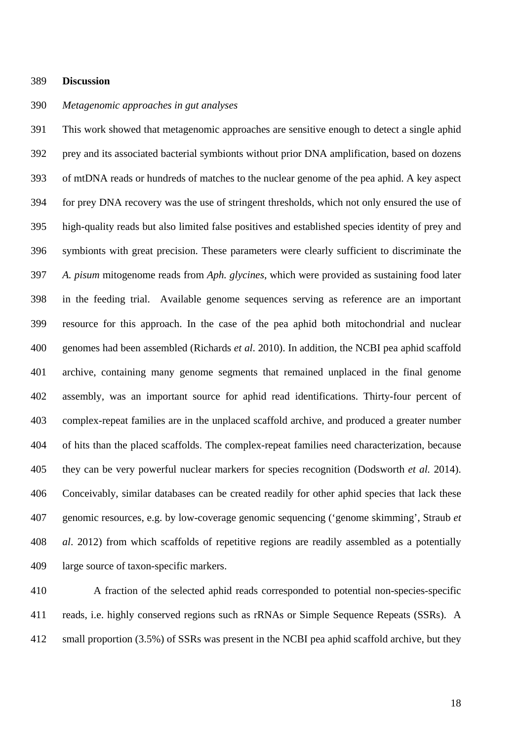#### **Discussion**

## *Metagenomic approaches in gut analyses*

 This work showed that metagenomic approaches are sensitive enough to detect a single aphid prey and its associated bacterial symbionts without prior DNA amplification, based on dozens of mtDNA reads or hundreds of matches to the nuclear genome of the pea aphid. A key aspect for prey DNA recovery was the use of stringent thresholds, which not only ensured the use of high-quality reads but also limited false positives and established species identity of prey and symbionts with great precision. These parameters were clearly sufficient to discriminate the *A. pisum* mitogenome reads from *Aph. glycines*, which were provided as sustaining food later in the feeding trial. Available genome sequences serving as reference are an important resource for this approach. In the case of the pea aphid both mitochondrial and nuclear genomes had been assembled (Richards *et al*. 2010). In addition, the NCBI pea aphid scaffold archive, containing many genome segments that remained unplaced in the final genome assembly, was an important source for aphid read identifications. Thirty-four percent of complex-repeat families are in the unplaced scaffold archive, and produced a greater number of hits than the placed scaffolds. The complex-repeat families need characterization, because they can be very powerful nuclear markers for species recognition (Dodsworth *et al.* 2014). Conceivably, similar databases can be created readily for other aphid species that lack these genomic resources, e.g. by low-coverage genomic sequencing ('genome skimming', Straub *et al*. 2012) from which scaffolds of repetitive regions are readily assembled as a potentially large source of taxon-specific markers.

 A fraction of the selected aphid reads corresponded to potential non-species-specific reads, i.e. highly conserved regions such as rRNAs or Simple Sequence Repeats (SSRs). A small proportion (3.5%) of SSRs was present in the NCBI pea aphid scaffold archive, but they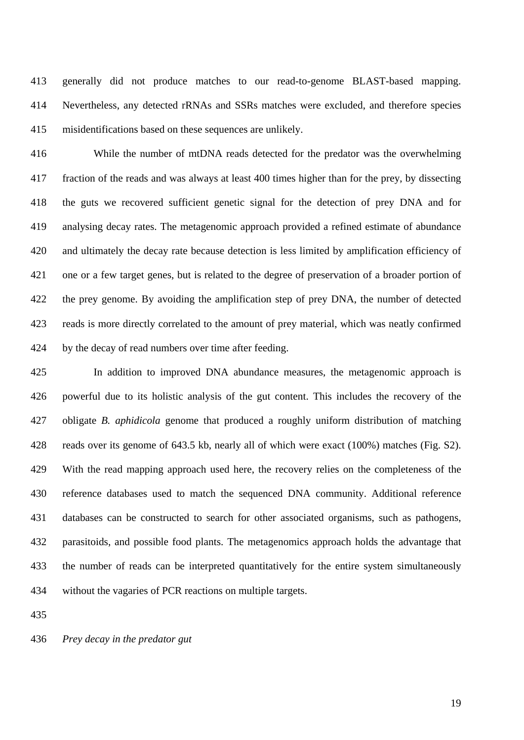generally did not produce matches to our read-to-genome BLAST-based mapping. Nevertheless, any detected rRNAs and SSRs matches were excluded, and therefore species misidentifications based on these sequences are unlikely.

 While the number of mtDNA reads detected for the predator was the overwhelming fraction of the reads and was always at least 400 times higher than for the prey, by dissecting the guts we recovered sufficient genetic signal for the detection of prey DNA and for analysing decay rates. The metagenomic approach provided a refined estimate of abundance and ultimately the decay rate because detection is less limited by amplification efficiency of one or a few target genes, but is related to the degree of preservation of a broader portion of the prey genome. By avoiding the amplification step of prey DNA, the number of detected reads is more directly correlated to the amount of prey material, which was neatly confirmed by the decay of read numbers over time after feeding.

 In addition to improved DNA abundance measures, the metagenomic approach is powerful due to its holistic analysis of the gut content. This includes the recovery of the obligate *B. aphidicola* genome that produced a roughly uniform distribution of matching reads over its genome of 643.5 kb, nearly all of which were exact (100%) matches (Fig. S2). With the read mapping approach used here, the recovery relies on the completeness of the reference databases used to match the sequenced DNA community. Additional reference databases can be constructed to search for other associated organisms, such as pathogens, parasitoids, and possible food plants. The metagenomics approach holds the advantage that the number of reads can be interpreted quantitatively for the entire system simultaneously without the vagaries of PCR reactions on multiple targets.

*Prey decay in the predator gut*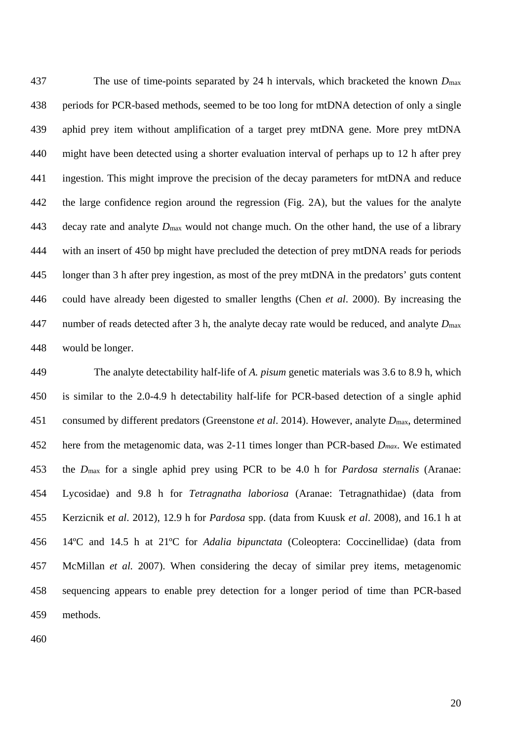The use of time-points separated by 24 h intervals, which bracketed the known *D*max periods for PCR-based methods, seemed to be too long for mtDNA detection of only a single aphid prey item without amplification of a target prey mtDNA gene. More prey mtDNA might have been detected using a shorter evaluation interval of perhaps up to 12 h after prey ingestion. This might improve the precision of the decay parameters for mtDNA and reduce the large confidence region around the regression (Fig. 2A), but the values for the analyte decay rate and analyte *D*max would not change much. On the other hand, the use of a library with an insert of 450 bp might have precluded the detection of prey mtDNA reads for periods longer than 3 h after prey ingestion, as most of the prey mtDNA in the predators' guts content could have already been digested to smaller lengths (Chen *et al*. 2000). By increasing the number of reads detected after 3 h, the analyte decay rate would be reduced, and analyte *D*max would be longer.

 The analyte detectability half-life of *A. pisum* genetic materials was 3.6 to 8.9 h, which is similar to the 2.0-4.9 h detectability half-life for PCR-based detection of a single aphid consumed by different predators (Greenstone *et al*. 2014). However, analyte *D*max, determined here from the metagenomic data, was 2-11 times longer than PCR-based *Dmax*. We estimated the *D*max for a single aphid prey using PCR to be 4.0 h for *Pardosa sternalis* (Aranae: Lycosidae) and 9.8 h for *Tetragnatha laboriosa* (Aranae: Tetragnathidae) (data from Kerzicnik e*t al*. 2012), 12.9 h for *Pardosa* spp. (data from Kuusk *et al*. 2008), and 16.1 h at 14ºC and 14.5 h at 21ºC for *Adalia bipunctata* (Coleoptera: Coccinellidae) (data from McMillan *et al.* 2007). When considering the decay of similar prey items, metagenomic sequencing appears to enable prey detection for a longer period of time than PCR-based methods.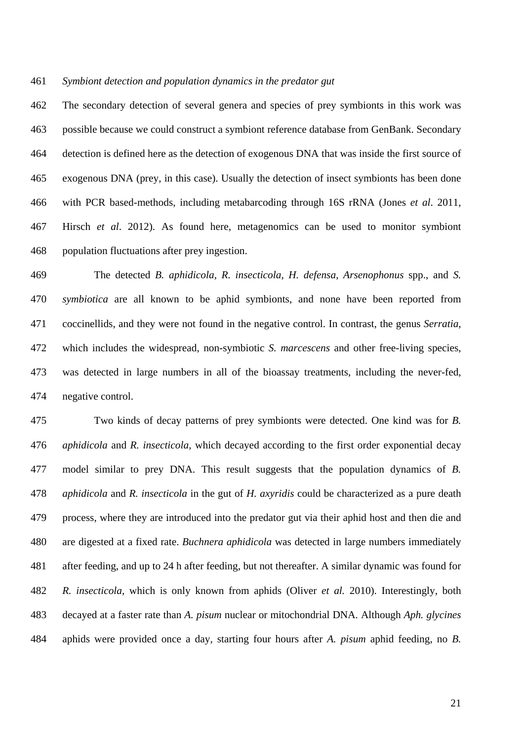#### *Symbiont detection and population dynamics in the predator gut*

 The secondary detection of several genera and species of prey symbionts in this work was possible because we could construct a symbiont reference database from GenBank. Secondary detection is defined here as the detection of exogenous DNA that was inside the first source of exogenous DNA (prey, in this case). Usually the detection of insect symbionts has been done with PCR based-methods, including metabarcoding through 16S rRNA (Jones *et al*. 2011, Hirsch *et al*. 2012). As found here, metagenomics can be used to monitor symbiont population fluctuations after prey ingestion.

 The detected *B. aphidicola*, *R. insecticola*, *H. defensa*, *Arsenophonus* spp., and *S. symbiotica* are all known to be aphid symbionts, and none have been reported from coccinellids, and they were not found in the negative control. In contrast, the genus *Serratia*, which includes the widespread, non-symbiotic *S. marcescens* and other free-living species, was detected in large numbers in all of the bioassay treatments, including the never-fed, negative control.

 Two kinds of decay patterns of prey symbionts were detected. One kind was for *B. aphidicola* and *R. insecticola,* which decayed according to the first order exponential decay model similar to prey DNA. This result suggests that the population dynamics of *B. aphidicola* and *R. insecticola* in the gut of *H. axyridis* could be characterized as a pure death process, where they are introduced into the predator gut via their aphid host and then die and are digested at a fixed rate. *Buchnera aphidicola* was detected in large numbers immediately after feeding, and up to 24 h after feeding, but not thereafter. A similar dynamic was found for *R. insecticola*, which is only known from aphids (Oliver *et al.* 2010). Interestingly, both decayed at a faster rate than *A. pisum* nuclear or mitochondrial DNA. Although *Aph. glycines* aphids were provided once a day, starting four hours after *A. pisum* aphid feeding, no *B.*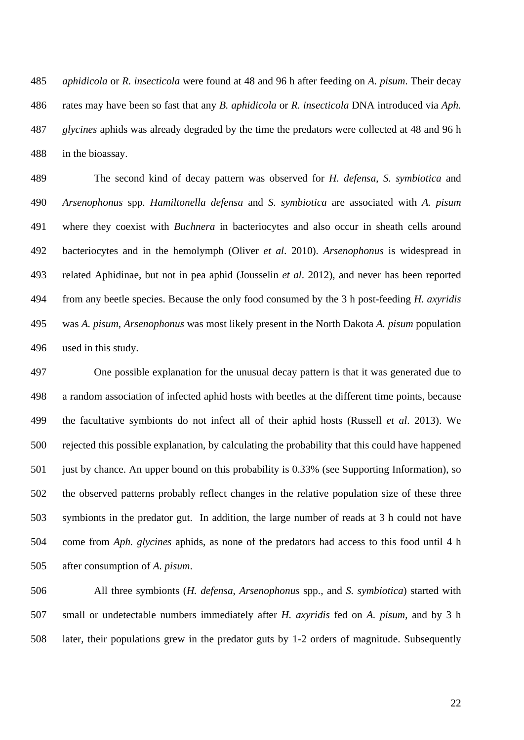*aphidicola* or *R. insecticola* were found at 48 and 96 h after feeding on *A. pisum*. Their decay rates may have been so fast that any *B. aphidicola* or *R. insecticola* DNA introduced via *Aph. glycines* aphids was already degraded by the time the predators were collected at 48 and 96 h in the bioassay.

 The second kind of decay pattern was observed for *H. defensa*, *S. symbiotica* and *Arsenophonus* spp. *Hamiltonella defensa* and *S. symbiotica* are associated with *A. pisum* where they coexist with *Buchnera* in bacteriocytes and also occur in sheath cells around bacteriocytes and in the hemolymph (Oliver *et al*. 2010). *Arsenophonus* is widespread in related Aphidinae, but not in pea aphid (Jousselin *et al*. 2012), and never has been reported from any beetle species. Because the only food consumed by the 3 h post-feeding *H. axyridis* was *A. pisum*, *Arsenophonus* was most likely present in the North Dakota *A. pisum* population used in this study.

 One possible explanation for the unusual decay pattern is that it was generated due to a random association of infected aphid hosts with beetles at the different time points, because the facultative symbionts do not infect all of their aphid hosts (Russell *et al*. 2013). We rejected this possible explanation, by calculating the probability that this could have happened just by chance. An upper bound on this probability is 0.33% (see Supporting Information), so the observed patterns probably reflect changes in the relative population size of these three symbionts in the predator gut. In addition, the large number of reads at 3 h could not have come from *Aph. glycines* aphids, as none of the predators had access to this food until 4 h after consumption of *A. pisum*.

 All three symbionts (*H. defensa*, *Arsenophonus* spp., and *S. symbiotica*) started with small or undetectable numbers immediately after *H. axyridis* fed on *A. pisum*, and by 3 h later, their populations grew in the predator guts by 1-2 orders of magnitude. Subsequently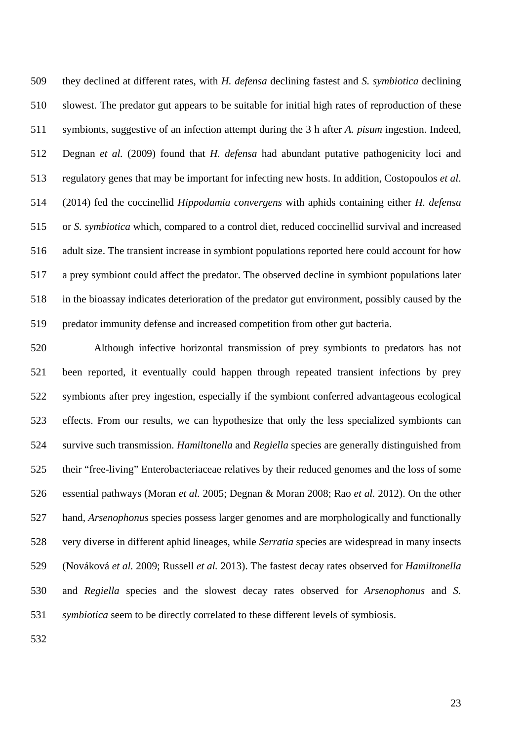they declined at different rates, with *H. defensa* declining fastest and *S. symbiotica* declining slowest. The predator gut appears to be suitable for initial high rates of reproduction of these symbionts, suggestive of an infection attempt during the 3 h after *A. pisum* ingestion. Indeed, Degnan *et al.* (2009) found that *H. defensa* had abundant putative pathogenicity loci and regulatory genes that may be important for infecting new hosts. In addition, Costopoulos *et al*. (2014) fed the coccinellid *Hippodamia convergens* with aphids containing either *H. defensa* or *S. symbiotica* which, compared to a control diet, reduced coccinellid survival and increased adult size. The transient increase in symbiont populations reported here could account for how a prey symbiont could affect the predator. The observed decline in symbiont populations later in the bioassay indicates deterioration of the predator gut environment, possibly caused by the predator immunity defense and increased competition from other gut bacteria.

 Although infective horizontal transmission of prey symbionts to predators has not been reported, it eventually could happen through repeated transient infections by prey symbionts after prey ingestion, especially if the symbiont conferred advantageous ecological effects. From our results, we can hypothesize that only the less specialized symbionts can survive such transmission. *Hamiltonella* and *Regiella* species are generally distinguished from their "free-living" Enterobacteriaceae relatives by their reduced genomes and the loss of some essential pathways (Moran *et al.* 2005; Degnan & Moran 2008; Rao *et al.* 2012). On the other hand, *Arsenophonus* species possess larger genomes and are morphologically and functionally very diverse in different aphid lineages, while *Serratia* species are widespread in many insects (Nováková *et al.* 2009; Russell *et al.* 2013). The fastest decay rates observed for *Hamiltonella* and *Regiella* species and the slowest decay rates observed for *Arsenophonus* and *S. symbiotica* seem to be directly correlated to these different levels of symbiosis.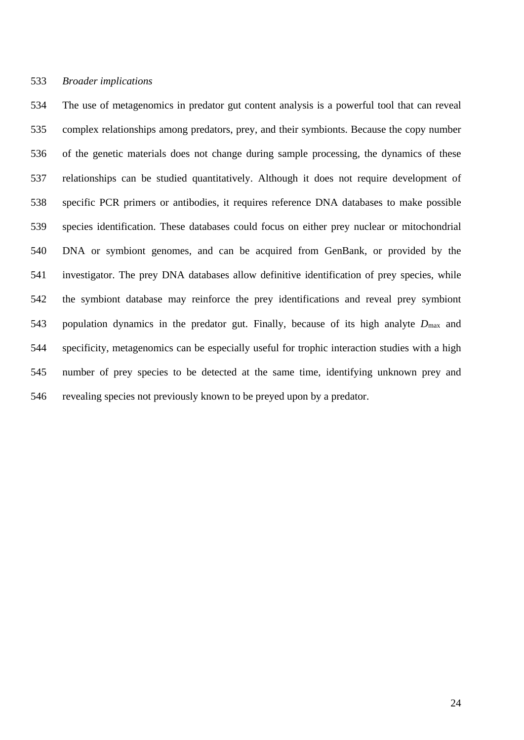## *Broader implications*

 The use of metagenomics in predator gut content analysis is a powerful tool that can reveal complex relationships among predators, prey, and their symbionts. Because the copy number of the genetic materials does not change during sample processing, the dynamics of these relationships can be studied quantitatively. Although it does not require development of specific PCR primers or antibodies, it requires reference DNA databases to make possible species identification. These databases could focus on either prey nuclear or mitochondrial DNA or symbiont genomes, and can be acquired from GenBank, or provided by the investigator. The prey DNA databases allow definitive identification of prey species, while the symbiont database may reinforce the prey identifications and reveal prey symbiont population dynamics in the predator gut. Finally, because of its high analyte *D*max and specificity, metagenomics can be especially useful for trophic interaction studies with a high number of prey species to be detected at the same time, identifying unknown prey and revealing species not previously known to be preyed upon by a predator.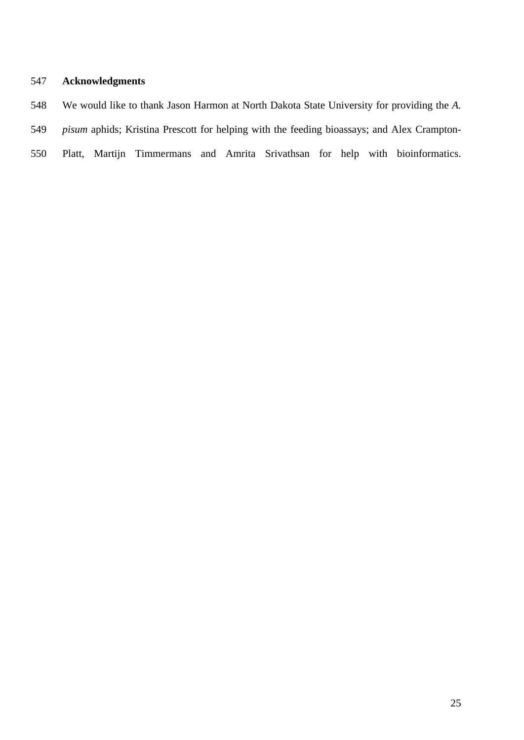# **Acknowledgments**

- We would like to thank Jason Harmon at North Dakota State University for providing the *A.*
- *pisum* aphids; Kristina Prescott for helping with the feeding bioassays; and Alex Crampton-
- Platt, Martijn Timmermans and Amrita Srivathsan for help with bioinformatics.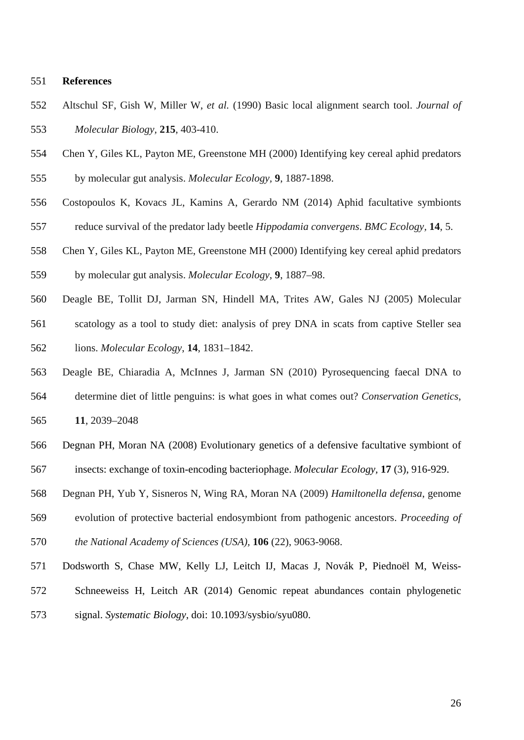## **References**

- Altschul SF, Gish W, Miller W, *et al.* (1990) Basic local alignment search tool. *Journal of Molecular Biology,* **215**, 403-410.
- Chen Y, Giles KL, Payton ME, Greenstone MH (2000) Identifying key cereal aphid predators
- by molecular gut analysis. *Molecular Ecology,* **9**, 1887-1898.
- Costopoulos K, Kovacs JL, Kamins A, Gerardo NM (2014) Aphid facultative symbionts reduce survival of the predator lady beetle *Hippodamia convergens*. *BMC Ecology,* **14**, 5.
- Chen Y, Giles KL, Payton ME, Greenstone MH (2000) Identifying key cereal aphid predators by molecular gut analysis. *Molecular Ecology*, **9**, 1887–98.
- Deagle BE, Tollit DJ, Jarman SN, Hindell MA, Trites AW, Gales NJ (2005) Molecular scatology as a tool to study diet: analysis of prey DNA in scats from captive Steller sea lions. *Molecular Ecology*, **14**, 1831–1842.
- Deagle BE, Chiaradia A, McInnes J, Jarman SN (2010) Pyrosequencing faecal DNA to determine diet of little penguins: is what goes in what comes out? *Conservation Genetics*,
- **11**, 2039–2048
- Degnan PH, Moran NA (2008) Evolutionary genetics of a defensive facultative symbiont of insects: exchange of toxin-encoding bacteriophage. *Molecular Ecology,* **17** (3), 916-929.
- Degnan PH, Yub Y, Sisneros N, Wing RA, Moran NA (2009) *Hamiltonella defensa*, genome
- evolution of protective bacterial endosymbiont from pathogenic ancestors. *Proceeding of*
- *the National Academy of Sciences (USA),* **106** (22), 9063-9068.
- Dodsworth S, Chase MW, Kelly LJ, Leitch IJ, Macas J, Novák P, Piednoël M, Weiss-
- Schneeweiss H, Leitch AR (2014) Genomic repeat abundances contain phylogenetic
- signal. *Systematic Biology*, doi: 10.1093/sysbio/syu080.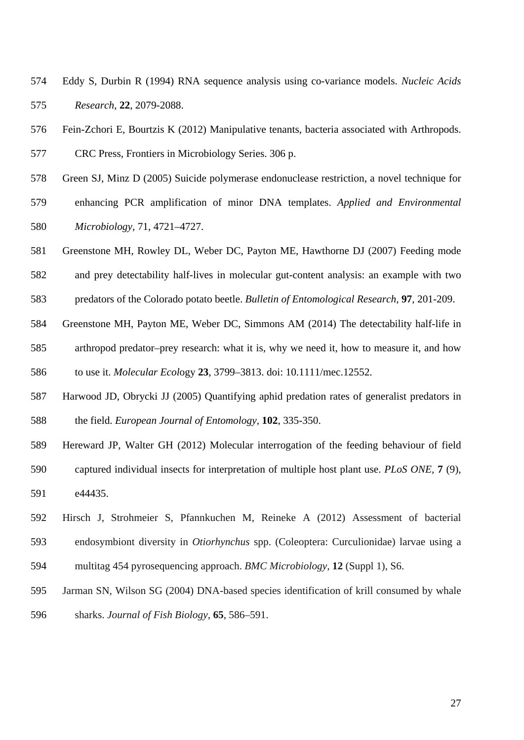- Eddy S, Durbin R (1994) RNA sequence analysis using co-variance models. *Nucleic Acids Research*, **22**, 2079-2088.
- Fein-Zchori E, Bourtzis K (2012) Manipulative tenants, bacteria associated with Arthropods.
- CRC Press, Frontiers in Microbiology Series. 306 p.
- Green SJ, Minz D (2005) Suicide polymerase endonuclease restriction, a novel technique for
- enhancing PCR amplification of minor DNA templates. *Applied and Environmental Microbiology*, 71, 4721–4727.
- Greenstone MH, Rowley DL, Weber DC, Payton ME, Hawthorne DJ (2007) Feeding mode
- and prey detectability half-lives in molecular gut-content analysis: an example with two
- predators of the Colorado potato beetle. *Bulletin of Entomological Research,* **97**, 201-209.
- Greenstone MH, Payton ME, Weber DC, Simmons AM (2014) The detectability half-life in arthropod predator–prey research: what it is, why we need it, how to measure it, and how to use it. *Molecular Ecol*ogy **23**, 3799–3813. doi: 10.1111/mec.12552.
- Harwood JD, Obrycki JJ (2005) Quantifying aphid predation rates of generalist predators in the field. *European Journal of Entomology,* **102**, 335-350.
- Hereward JP, Walter GH (2012) Molecular interrogation of the feeding behaviour of field captured individual insects for interpretation of multiple host plant use. *PLoS ONE,* **7** (9), e44435.
- Hirsch J, Strohmeier S, Pfannkuchen M, Reineke A (2012) Assessment of bacterial endosymbiont diversity in *Otiorhynchus* spp. (Coleoptera: Curculionidae) larvae using a multitag 454 pyrosequencing approach. *BMC Microbiology,* **12** (Suppl 1), S6.
- Jarman SN, Wilson SG (2004) DNA-based species identification of krill consumed by whale sharks. *Journal of Fish Biology*, **65**, 586–591.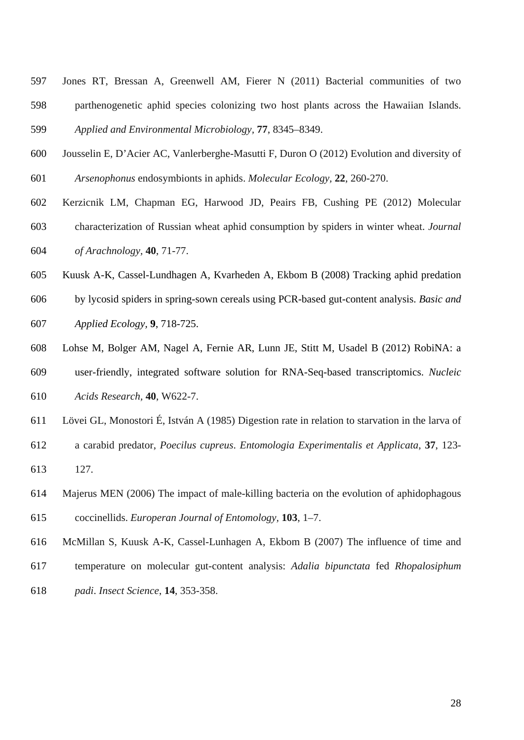- Jones RT, Bressan A, Greenwell AM, Fierer N (2011) Bacterial communities of two parthenogenetic aphid species colonizing two host plants across the Hawaiian Islands. *Applied and Environmental Microbiology,* **77**, 8345–8349.
- Jousselin E, D'Acier AC, Vanlerberghe-Masutti F, Duron O (2012) Evolution and diversity of *Arsenophonus* endosymbionts in aphids. *Molecular Ecology,* **22**, 260-270.
- Kerzicnik LM, Chapman EG, Harwood JD, Peairs FB, Cushing PE (2012) Molecular characterization of Russian wheat aphid consumption by spiders in winter wheat. *Journal of Arachnology,* **40**, 71-77.
- Kuusk A-K, Cassel-Lundhagen A, Kvarheden A, Ekbom B (2008) Tracking aphid predation
- by lycosid spiders in spring-sown cereals using PCR-based gut-content analysis. *Basic and Applied Ecology,* **9**, 718-725.
- Lohse M, Bolger AM, Nagel A, Fernie AR, Lunn JE, Stitt M, Usadel B (2012) RobiNA: a user-friendly, integrated software solution for RNA-Seq-based transcriptomics. *Nucleic Acids Research,* **40**, W622-7.
- Lövei GL, Monostori É, István A (1985) Digestion rate in relation to starvation in the larva of
- a carabid predator, *Poecilus cupreus*. *Entomologia Experimentalis et Applicata*, **37**, 123- 127.
- Majerus MEN (2006) The impact of male-killing bacteria on the evolution of aphidophagous coccinellids. *Europeran Journal of Entomology,* **103**, 1–7.
- McMillan S, Kuusk A-K, Cassel-Lunhagen A, Ekbom B (2007) The influence of time and
- temperature on molecular gut-content analysis: *Adalia bipunctata* fed *Rhopalosiphum*
- *padi*. *Insect Science*, **14**, 353-358.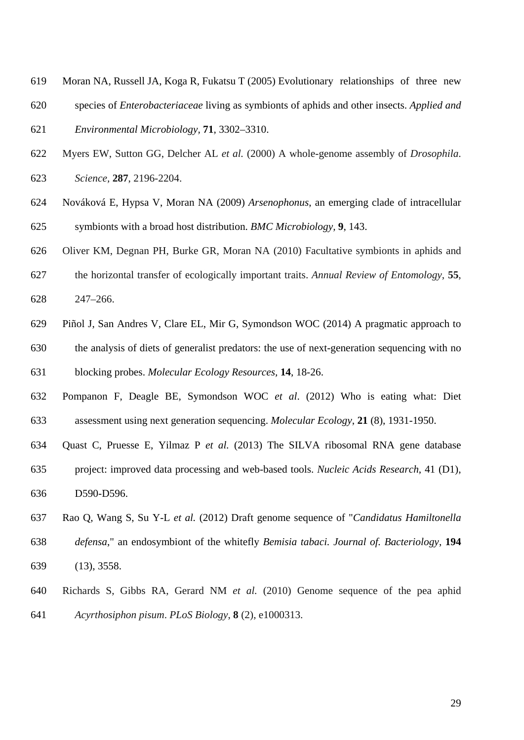- Moran NA, Russell JA, Koga R, Fukatsu T (2005) Evolutionary relationships of three new
- species of *Enterobacteriaceae* living as symbionts of aphids and other insects. *Applied and Environmental Microbiology,* **71**, 3302–3310.
- Myers EW, Sutton GG, Delcher AL *et al.* (2000) A whole-genome assembly of *Drosophila*. *Science,* **287**, 2196-2204.
- Nováková E, Hypsa V, Moran NA (2009) *Arsenophonus*, an emerging clade of intracellular symbionts with a broad host distribution. *BMC Microbiology,* **9**, 143.
- Oliver KM, Degnan PH, Burke GR, Moran NA (2010) Facultative symbionts in aphids and
- the horizontal transfer of ecologically important traits. *Annual Review of Entomology*, **55**, 247–266.
- Piñol J, San Andres V, Clare EL, Mir G, Symondson WOC (2014) A pragmatic approach to the analysis of diets of generalist predators: the use of next-generation sequencing with no blocking probes. *Molecular Ecology Resources,* **14**, 18-26.
- Pompanon F, Deagle BE, Symondson WOC *et al*. (2012) Who is eating what: Diet assessment using next generation sequencing. *Molecular Ecology*, **21** (8), 1931-1950.
- Quast C, Pruesse E, Yilmaz P *et al.* (2013) The SILVA ribosomal RNA gene database project: improved data processing and web-based tools. *Nucleic Acids Research*, 41 (D1), D590-D596.
- Rao Q, Wang S, Su Y-L *et al.* (2012) Draft genome sequence of "*Candidatus Hamiltonella defensa*," an endosymbiont of the whitefly *Bemisia tabaci. Journal of. Bacteriology*, **194** (13), 3558.
- Richards S, Gibbs RA, Gerard NM *et al.* (2010) Genome sequence of the pea aphid *Acyrthosiphon pisum*. *PLoS Biology*, **8** (2), e1000313.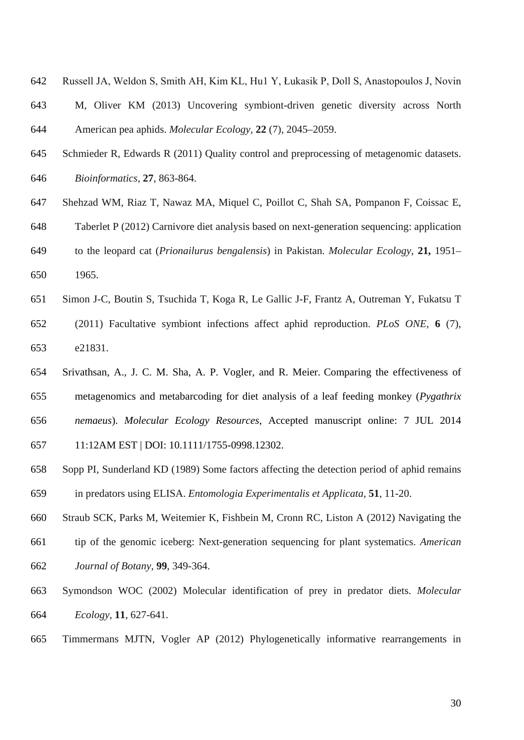Russell JA, Weldon S, Smith AH, Kim KL, Hu1 Y, Łukasik P, Doll S, Anastopoulos J, Novin M, Oliver KM (2013) Uncovering symbiont-driven genetic diversity across North

American pea aphids. *Molecular Ecology,* **22** (7), 2045–2059.

- Schmieder R, Edwards R (2011) Quality control and preprocessing of metagenomic datasets. *Bioinformatics,* **27**, 863-864.
- Shehzad WM, Riaz T, Nawaz MA, Miquel C, Poillot C, Shah SA, Pompanon F, Coissac E, Taberlet P (2012) Carnivore diet analysis based on next-generation sequencing: application to the leopard cat (*Prionailurus bengalensis*) in Pakistan. *Molecular Ecology*, **21,** 1951– 1965.
- Simon J-C, Boutin S, Tsuchida T, Koga R, Le Gallic J-F, Frantz A, Outreman Y, Fukatsu T (2011) Facultative symbiont infections affect aphid reproduction. *PLoS ONE,* **6** (7),
- e21831.
- Srivathsan, A., J. C. M. Sha, A. P. Vogler, and R. Meier. [Comparing the effectiveness of](http://scholar.google.co.uk/citations?view_op=view_citation&hl=en&user=t5FZIDMAAAAJ&pagesize=100&sortby=pubdate&citation_for_view=t5FZIDMAAAAJ:tYavs44e6CUC)  [metagenomics and metabarcoding for diet analysis of a leaf](http://scholar.google.co.uk/citations?view_op=view_citation&hl=en&user=t5FZIDMAAAAJ&pagesize=100&sortby=pubdate&citation_for_view=t5FZIDMAAAAJ:tYavs44e6CUC) feeding monkey (*Pygathrix [nemaeus](http://scholar.google.co.uk/citations?view_op=view_citation&hl=en&user=t5FZIDMAAAAJ&pagesize=100&sortby=pubdate&citation_for_view=t5FZIDMAAAAJ:tYavs44e6CUC)*). *Molecular Ecology Resources*, Accepted manuscript online: 7 JUL 2014

11:12AM EST | DOI: 10.1111/1755-0998.12302.

 Sopp PI, Sunderland KD (1989) Some factors affecting the detection period of aphid remains in predators using ELISA. *Entomologia Experimentalis et Applicata*, **51**, 11-20.

Straub SCK, Parks M, Weitemier K, Fishbein M, Cronn RC, Liston A (2012) Navigating the

- tip of the genomic iceberg: Next-generation sequencing for plant systematics. *American Journal of Botany*, **99**, 349-364.
- Symondson WOC (2002) Molecular identification of prey in predator diets. *Molecular Ecology*, **11**, 627-641.
- Timmermans MJTN, Vogler AP (2012) Phylogenetically informative rearrangements in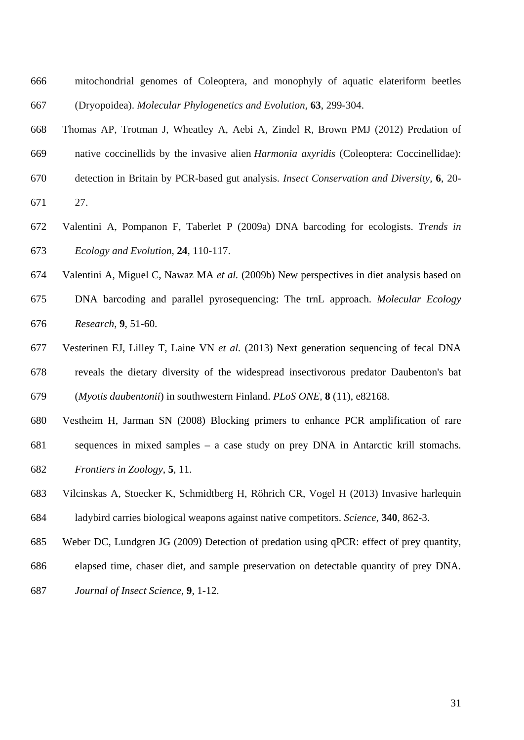- mitochondrial genomes of Coleoptera, and monophyly of aquatic elateriform beetles (Dryopoidea). *Molecular Phylogenetics and Evolution,* **63**, 299-304.
- Thomas AP, Trotman J, Wheatley A, Aebi A, Zindel R, Brown PMJ (2012) Predation of native coccinellids by the invasive alien *Harmonia axyridis* (Coleoptera: Coccinellidae): detection in Britain by PCR-based gut analysis. *Insect Conservation and Diversity,* **6**, 20-
- 27.
- Valentini A, Pompanon F, Taberlet P (2009a) DNA barcoding for ecologists. *Trends in Ecology and Evolution*, **24**, 110-117.
- Valentini A, Miguel C, Nawaz MA *et al.* (2009b) New perspectives in diet analysis based on
- DNA barcoding and parallel pyrosequencing: The trnL approach. *Molecular Ecology Research*, **9**, 51-60.
- Vesterinen EJ, Lilley T, Laine VN *et al.* (2013) Next generation sequencing of fecal DNA reveals the dietary diversity of the widespread insectivorous predator Daubenton's bat (*Myotis daubentonii*) in southwestern Finland. *PLoS ONE,* **8** (11), e82168.
- Vestheim H, Jarman SN (2008) Blocking primers to enhance PCR amplification of rare sequences in mixed samples – a case study on prey DNA in Antarctic krill stomachs. *Frontiers in Zoology*, **5**, 11.
- Vilcinskas A, Stoecker K, Schmidtberg H, Röhrich CR, Vogel H (2013) Invasive harlequin ladybird carries biological weapons against native competitors. *Science,* **340**, 862-3.
- Weber DC, Lundgren JG (2009) Detection of predation using qPCR: effect of prey quantity,
- elapsed time, chaser diet, and sample preservation on detectable quantity of prey DNA.
- *Journal of Insect Science,* **9**, 1-12.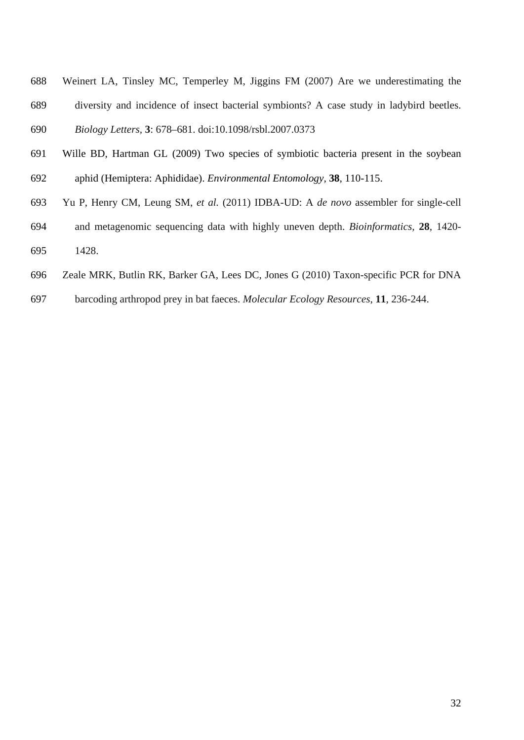- Weinert LA, Tinsley MC, Temperley M, Jiggins FM (2007) Are we underestimating the diversity and incidence of insect bacterial symbionts? A case study in ladybird beetles. *Biology Letters,* **3**: 678–681. doi:10.1098/rsbl.2007.0373
- Wille BD, Hartman GL (2009) Two species of symbiotic bacteria present in the soybean aphid (Hemiptera: Aphididae). *Environmental Entomology,* **38**, 110-115.
- 
- Yu P, Henry CM, Leung SM, *et al.* (2011) IDBA-UD: A *de novo* assembler for single-cell and metagenomic sequencing data with highly uneven depth. *Bioinformatics,* **28**, 1420- 1428.
- Zeale MRK, Butlin RK, Barker GA, Lees DC, Jones G (2010) Taxon-specific PCR for DNA
- barcoding arthropod prey in bat faeces. *Molecular Ecology Resources*, **11**, 236-244.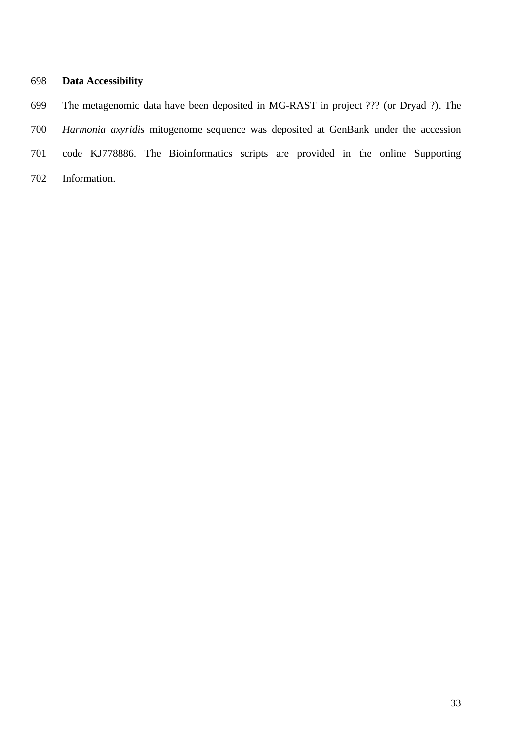# **Data Accessibility**

 The metagenomic data have been deposited in MG-RAST in project ??? (or Dryad ?). The *Harmonia axyridis* mitogenome sequence was deposited at GenBank under the accession code KJ778886. The Bioinformatics scripts are provided in the online Supporting Information.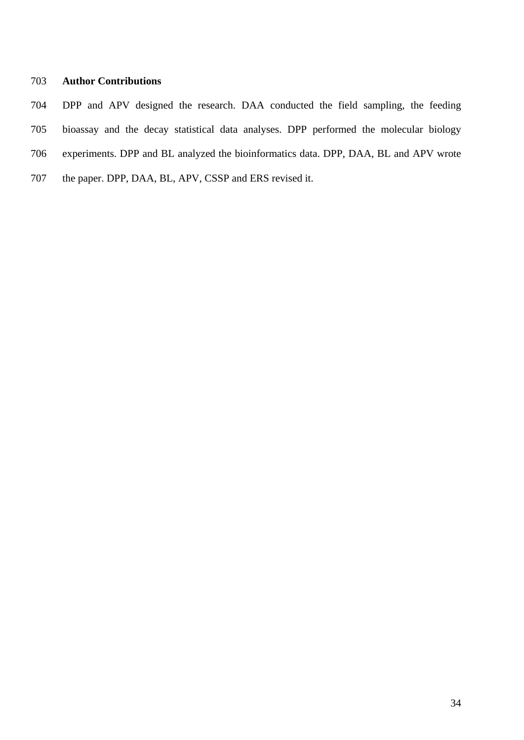# **Author Contributions**

- DPP and APV designed the research. DAA conducted the field sampling, the feeding
- bioassay and the decay statistical data analyses. DPP performed the molecular biology
- experiments. DPP and BL analyzed the bioinformatics data. DPP, DAA, BL and APV wrote
- the paper. DPP, DAA, BL, APV, CSSP and ERS revised it.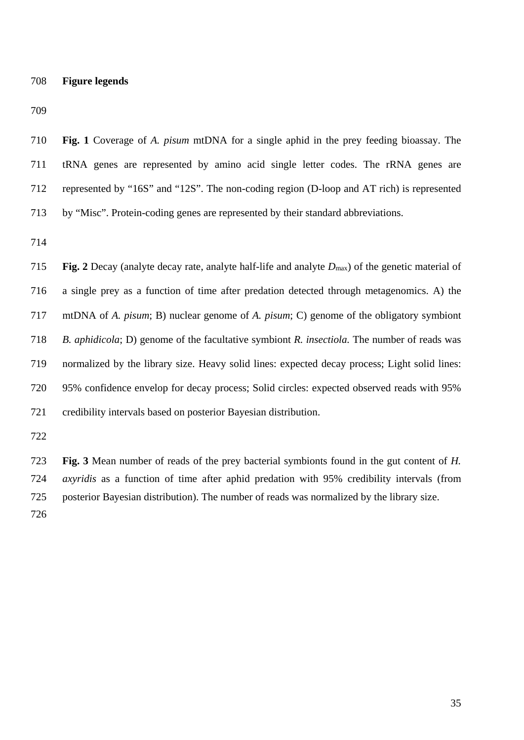**Fig. 1** Coverage of *A. pisum* mtDNA for a single aphid in the prey feeding bioassay. The tRNA genes are represented by amino acid single letter codes. The rRNA genes are represented by "16S" and "12S". The non-coding region (D-loop and AT rich) is represented by "Misc". Protein-coding genes are represented by their standard abbreviations.

 **Fig. 2** Decay (analyte decay rate, analyte half-life and analyte *D*max) of the genetic material of a single prey as a function of time after predation detected through metagenomics. A) the mtDNA of *A. pisum*; B) nuclear genome of *A. pisum*; C) genome of the obligatory symbiont *B. aphidicola*; D) genome of the facultative symbiont *R. insectiola.* The number of reads was normalized by the library size. Heavy solid lines: expected decay process; Light solid lines: 95% confidence envelop for decay process; Solid circles: expected observed reads with 95% credibility intervals based on posterior Bayesian distribution.

 **Fig. 3** Mean number of reads of the prey bacterial symbionts found in the gut content of *H. axyridis* as a function of time after aphid predation with 95% credibility intervals (from posterior Bayesian distribution). The number of reads was normalized by the library size.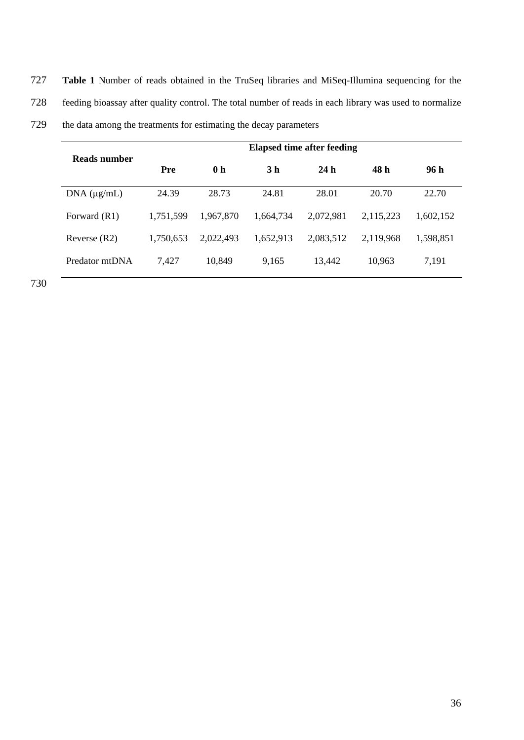727 **Table 1** Number of reads obtained in the TruSeq libraries and MiSeq-Illumina sequencing for the 728 feeding bioassay after quality control. The total number of reads in each library was used to normalize

| 729 | the data among the treatments for estimating the decay parameters |  |  |
|-----|-------------------------------------------------------------------|--|--|
|-----|-------------------------------------------------------------------|--|--|

| Reads number        | <b>Elapsed time after feeding</b> |                |                |           |           |           |
|---------------------|-----------------------------------|----------------|----------------|-----------|-----------|-----------|
|                     | Pre                               | 0 <sub>h</sub> | 3 <sub>h</sub> | 24h       | 48 h      | 96 h      |
| $DNA$ ( $\mu$ g/mL) | 24.39                             | 28.73          | 24.81          | 28.01     | 20.70     | 22.70     |
| Forward (R1)        | 1,751,599                         | 1,967,870      | 1,664,734      | 2,072,981 | 2,115,223 | 1,602,152 |
| Reverse $(R2)$      | 1,750,653                         | 2,022,493      | 1,652,913      | 2,083,512 | 2,119,968 | 1,598,851 |
| Predator mtDNA      | 7,427                             | 10,849         | 9.165          | 13,442    | 10,963    | 7,191     |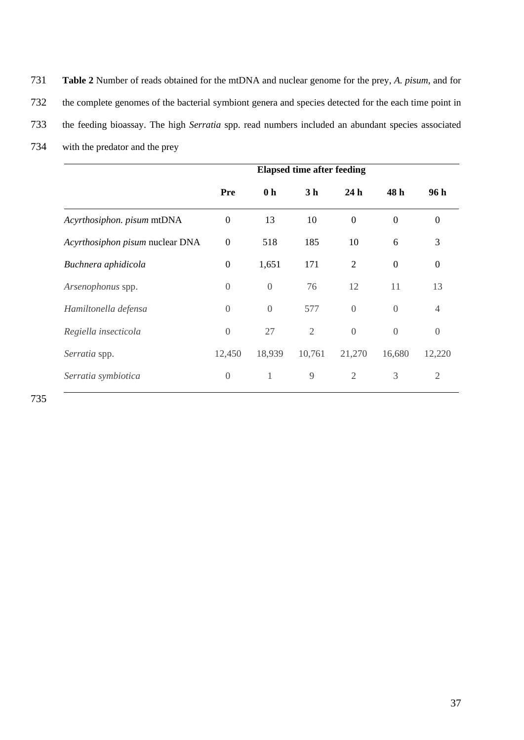731 **Table 2** Number of reads obtained for the mtDNA and nuclear genome for the prey, *A. pisum*, and for 732 the complete genomes of the bacterial symbiont genera and species detected for the each time point in 733 the feeding bioassay. The high *Serratia* spp. read numbers included an abundant species associated

734 with the predator and the prey

|                                 | <b>Elapsed time after feeding</b> |                |                |                 |                |                |
|---------------------------------|-----------------------------------|----------------|----------------|-----------------|----------------|----------------|
|                                 | Pre                               | 0 <sub>h</sub> | 3 <sub>h</sub> | 24 <sub>h</sub> | 48 h           | 96 h           |
| Acyrthosiphon. pisum mtDNA      | $\overline{0}$                    | 13             | 10             | $\overline{0}$  | $\overline{0}$ | $\overline{0}$ |
| Acyrthosiphon pisum nuclear DNA | $\boldsymbol{0}$                  | 518            | 185            | 10              | 6              | 3              |
| Buchnera aphidicola             | $\boldsymbol{0}$                  | 1,651          | 171            | 2               | $\overline{0}$ | $\mathbf{0}$   |
| Arsenophonus spp.               | $\overline{0}$                    | $\theta$       | 76             | 12              | 11             | 13             |
| Hamiltonella defensa            | $\Omega$                          | $\overline{0}$ | 577            | $\overline{0}$  | $\Omega$       | $\overline{4}$ |
| Regiella insecticola            | $\overline{0}$                    | 27             | $\mathfrak{2}$ | $\theta$        | $\overline{0}$ | $\overline{0}$ |
| Serratia spp.                   | 12,450                            | 18,939         | 10,761         | 21,270          | 16,680         | 12,220         |
| Serratia symbiotica             | $\overline{0}$                    | $\mathbf{1}$   | 9              | 2               | 3              | $\overline{2}$ |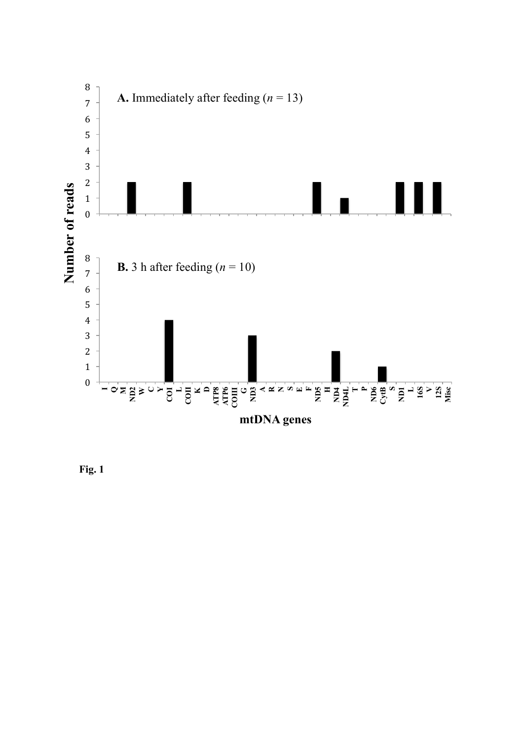

**Fig. 1**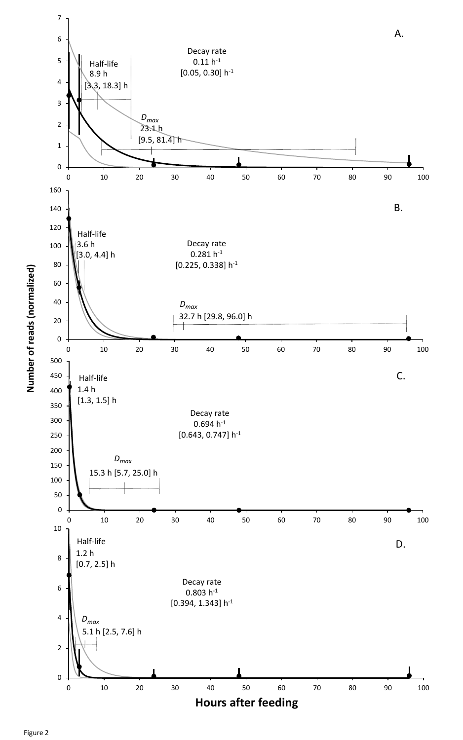Number of reads (normalized) **Number of reads (normalized)**





Figure 2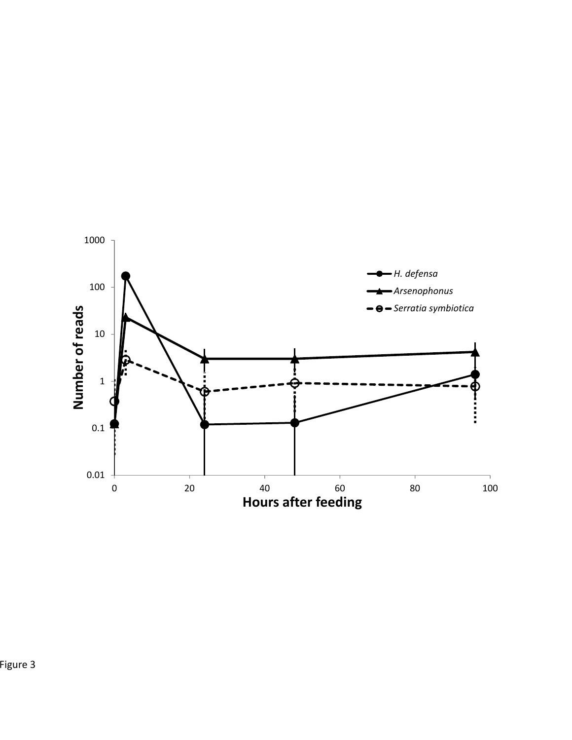